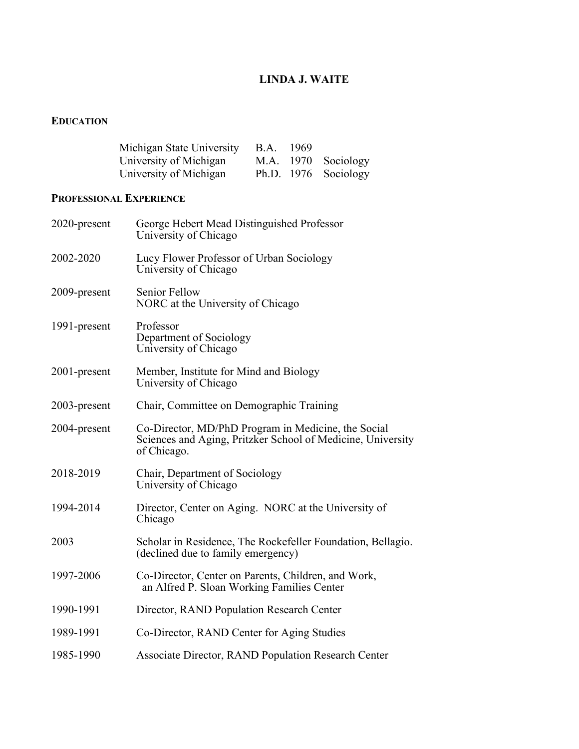# **LINDA J. WAITE**

## **EDUCATION**

| Michigan State University B.A. | 1969 |                      |
|--------------------------------|------|----------------------|
| University of Michigan         |      | M.A. 1970 Sociology  |
| University of Michigan         |      | Ph.D. 1976 Sociology |

# **PROFESSIONAL EXPERIENCE**

| 2020-present | George Hebert Mead Distinguished Professor<br>University of Chicago                                                               |
|--------------|-----------------------------------------------------------------------------------------------------------------------------------|
| 2002-2020    | Lucy Flower Professor of Urban Sociology<br>University of Chicago                                                                 |
| 2009-present | <b>Senior Fellow</b><br>NORC at the University of Chicago                                                                         |
| 1991-present | Professor<br>Department of Sociology<br>University of Chicago                                                                     |
| 2001-present | Member, Institute for Mind and Biology<br>University of Chicago                                                                   |
| 2003-present | Chair, Committee on Demographic Training                                                                                          |
| 2004-present | Co-Director, MD/PhD Program in Medicine, the Social<br>Sciences and Aging, Pritzker School of Medicine, University<br>of Chicago. |
| 2018-2019    | Chair, Department of Sociology<br>University of Chicago                                                                           |
| 1994-2014    | Director, Center on Aging. NORC at the University of<br>Chicago                                                                   |
| 2003         | Scholar in Residence, The Rockefeller Foundation, Bellagio.<br>(declined due to family emergency)                                 |
| 1997-2006    | Co-Director, Center on Parents, Children, and Work,<br>an Alfred P. Sloan Working Families Center                                 |
| 1990-1991    | Director, RAND Population Research Center                                                                                         |
| 1989-1991    | Co-Director, RAND Center for Aging Studies                                                                                        |
| 1985-1990    | Associate Director, RAND Population Research Center                                                                               |
|              |                                                                                                                                   |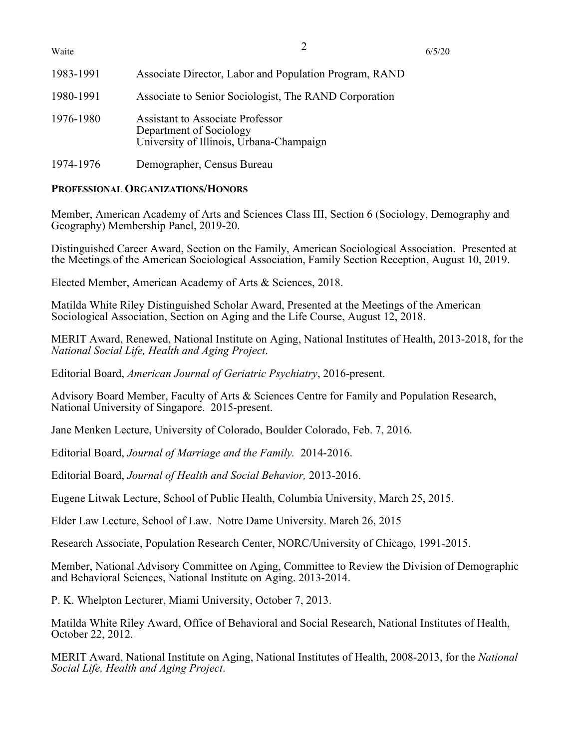| Waite     |                                                                                                         | 6/5/20 |
|-----------|---------------------------------------------------------------------------------------------------------|--------|
| 1983-1991 | Associate Director, Labor and Population Program, RAND                                                  |        |
| 1980-1991 | Associate to Senior Sociologist, The RAND Corporation                                                   |        |
| 1976-1980 | Assistant to Associate Professor<br>Department of Sociology<br>University of Illinois, Urbana-Champaign |        |
| 1974-1976 | Demographer, Census Bureau                                                                              |        |

## **PROFESSIONAL ORGANIZATIONS/HONORS**

Member, American Academy of Arts and Sciences Class III, Section 6 (Sociology, Demography and Geography) Membership Panel, 2019-20.

Distinguished Career Award, Section on the Family, American Sociological Association. Presented at the Meetings of the American Sociological Association, Family Section Reception, August 10, 2019.

Elected Member, American Academy of Arts & Sciences, 2018.

Matilda White Riley Distinguished Scholar Award, Presented at the Meetings of the American Sociological Association, Section on Aging and the Life Course, August 12, 2018.

MERIT Award, Renewed, National Institute on Aging, National Institutes of Health, 2013-2018, for the *National Social Life, Health and Aging Project*.

Editorial Board, *American Journal of Geriatric Psychiatry*, 2016-present.

Advisory Board Member, Faculty of Arts & Sciences Centre for Family and Population Research, National University of Singapore. 2015-present.

Jane Menken Lecture, University of Colorado, Boulder Colorado, Feb. 7, 2016.

Editorial Board, *Journal of Marriage and the Family.* 2014-2016.

Editorial Board, *Journal of Health and Social Behavior,* 2013-2016.

Eugene Litwak Lecture, School of Public Health, Columbia University, March 25, 2015.

Elder Law Lecture, School of Law. Notre Dame University. March 26, 2015

Research Associate, Population Research Center, NORC/University of Chicago, 1991-2015.

Member, National Advisory Committee on Aging, Committee to Review the Division of Demographic and Behavioral Sciences, National Institute on Aging. 2013-2014.

P. K. Whelpton Lecturer, Miami University, October 7, 2013.

Matilda White Riley Award, Office of Behavioral and Social Research, National Institutes of Health, October 22, 2012.

MERIT Award, National Institute on Aging, National Institutes of Health, 2008-2013, for the *National Social Life, Health and Aging Project*.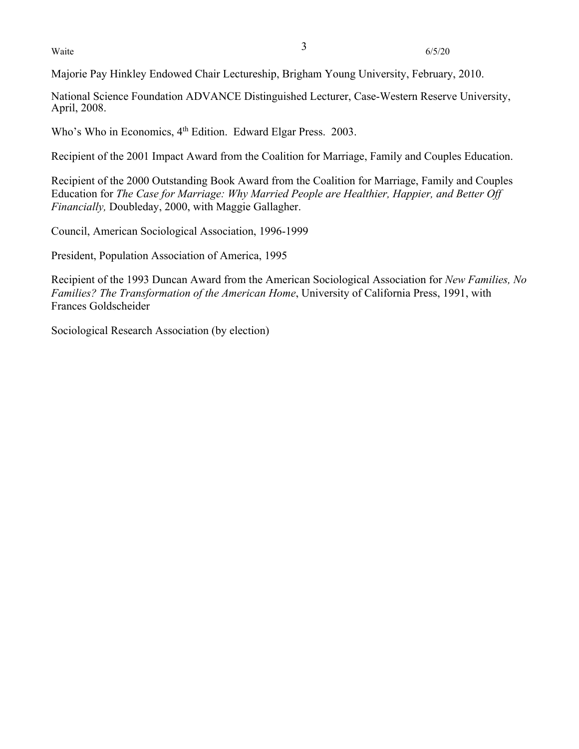Waite  $\frac{3}{6/5/20}$ 

Majorie Pay Hinkley Endowed Chair Lectureship, Brigham Young University, February, 2010.

National Science Foundation ADVANCE Distinguished Lecturer, Case-Western Reserve University, April, 2008.

Who's Who in Economics, 4<sup>th</sup> Edition. Edward Elgar Press. 2003.

Recipient of the 2001 Impact Award from the Coalition for Marriage, Family and Couples Education.

Recipient of the 2000 Outstanding Book Award from the Coalition for Marriage, Family and Couples Education for *The Case for Marriage: Why Married People are Healthier, Happier, and Better Off Financially,* Doubleday, 2000, with Maggie Gallagher.

Council, American Sociological Association, 1996-1999

President, Population Association of America, 1995

Recipient of the 1993 Duncan Award from the American Sociological Association for *New Families, No Families? The Transformation of the American Home*, University of California Press, 1991, with Frances Goldscheider

Sociological Research Association (by election)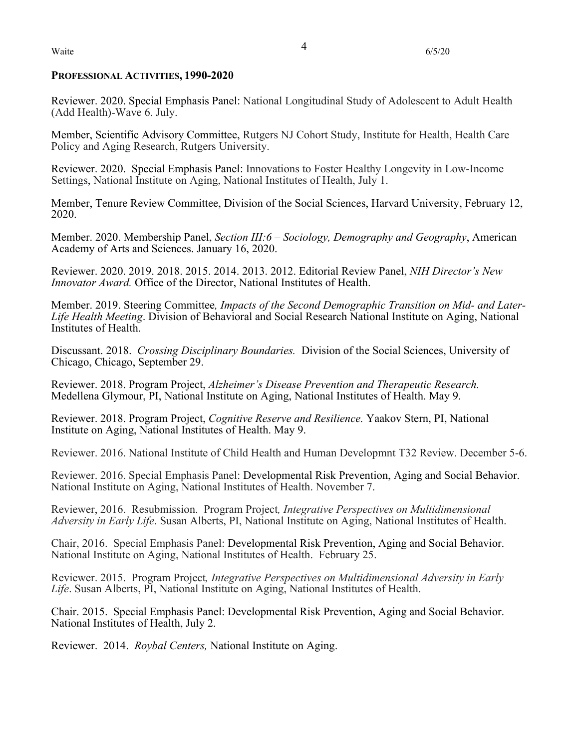#### **PROFESSIONAL ACTIVITIES, 1990-2020**

Reviewer. 2020. Special Emphasis Panel: National Longitudinal Study of Adolescent to Adult Health (Add Health)-Wave 6. July.

Member, Scientific Advisory Committee, Rutgers NJ Cohort Study, Institute for Health, Health Care Policy and Aging Research, Rutgers University.

Reviewer. 2020. Special Emphasis Panel: Innovations to Foster Healthy Longevity in Low-Income Settings, National Institute on Aging, National Institutes of Health, July 1.

Member, Tenure Review Committee, Division of the Social Sciences, Harvard University, February 12, 2020.

Member. 2020. Membership Panel, *Section III:6 – Sociology, Demography and Geography*, American Academy of Arts and Sciences. January 16, 2020.

Reviewer. 2020. 2019. 2018. 2015. 2014. 2013. 2012. Editorial Review Panel, *NIH Director's New Innovator Award.* Office of the Director, National Institutes of Health.

Member. 2019. Steering Committee*, Impacts of the Second Demographic Transition on Mid- and Later- Life Health Meeting*. Division of Behavioral and Social Research National Institute on Aging, National Institutes of Health.

Discussant. 2018. *Crossing Disciplinary Boundaries.* Division of the Social Sciences, University of Chicago, Chicago, September 29.

Reviewer. 2018. Program Project, *Alzheimer's Disease Prevention and Therapeutic Research.*  Medellena Glymour, PI, National Institute on Aging, National Institutes of Health. May 9.

Reviewer. 2018. Program Project, *Cognitive Reserve and Resilience.* Yaakov Stern, PI, National Institute on Aging, National Institutes of Health. May 9.

Reviewer. 2016. National Institute of Child Health and Human Developmnt T32 Review. December 5-6.

Reviewer. 2016. Special Emphasis Panel: Developmental Risk Prevention, Aging and Social Behavior. National Institute on Aging, National Institutes of Health. November 7.

Reviewer, 2016. Resubmission. Program Project*, Integrative Perspectives on Multidimensional Adversity in Early Life*. Susan Alberts, PI, National Institute on Aging, National Institutes of Health.

Chair, 2016. Special Emphasis Panel: Developmental Risk Prevention, Aging and Social Behavior. National Institute on Aging, National Institutes of Health. February 25.

Reviewer. 2015. Program Project*, Integrative Perspectives on Multidimensional Adversity in Early Life*. Susan Alberts, PI, National Institute on Aging, National Institutes of Health.

Chair. 2015. Special Emphasis Panel: Developmental Risk Prevention, Aging and Social Behavior. National Institutes of Health, July 2.

Reviewer. 2014. *Roybal Centers,* National Institute on Aging.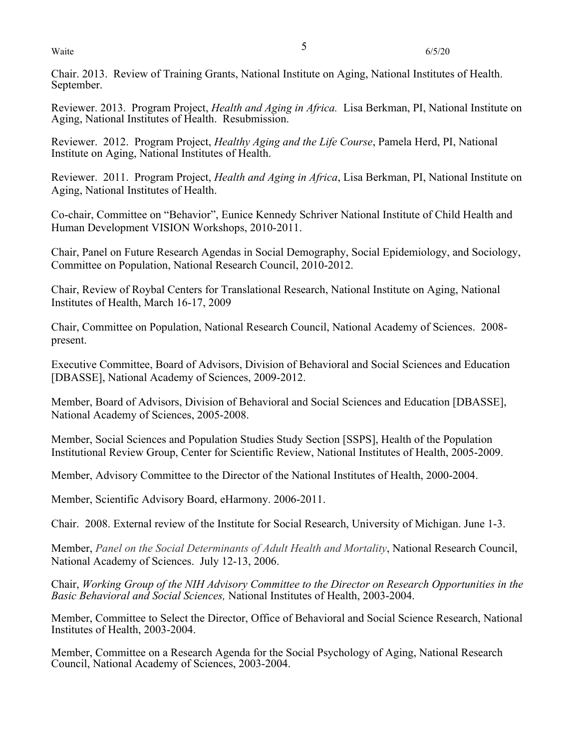Waite  $\frac{5}{6/5/20}$ 

Chair. 2013. Review of Training Grants, National Institute on Aging, National Institutes of Health. September.

Reviewer. 2013. Program Project, *Health and Aging in Africa.* Lisa Berkman, PI, National Institute on Aging, National Institutes of Health. Resubmission.

Reviewer. 2012. Program Project, *Healthy Aging and the Life Course*, Pamela Herd, PI, National Institute on Aging, National Institutes of Health.

Reviewer. 2011. Program Project, *Health and Aging in Africa*, Lisa Berkman, PI, National Institute on Aging, National Institutes of Health.

Co-chair, Committee on "Behavior", Eunice Kennedy Schriver National Institute of Child Health and Human Development VISION Workshops, 2010-2011.

Chair, Panel on Future Research Agendas in Social Demography, Social Epidemiology, and Sociology, Committee on Population, National Research Council, 2010-2012.

Chair, Review of Roybal Centers for Translational Research, National Institute on Aging, National Institutes of Health, March 16-17, 2009

Chair, Committee on Population, National Research Council, National Academy of Sciences. 2008 present.

Executive Committee, Board of Advisors, Division of Behavioral and Social Sciences and Education [DBASSE], National Academy of Sciences, 2009-2012.

Member, Board of Advisors, Division of Behavioral and Social Sciences and Education [DBASSE], National Academy of Sciences, 2005-2008.

Member, Social Sciences and Population Studies Study Section [SSPS], Health of the Population Institutional Review Group, Center for Scientific Review, National Institutes of Health, 2005-2009.

Member, Advisory Committee to the Director of the National Institutes of Health, 2000-2004.

Member, Scientific Advisory Board, eHarmony. 2006-2011.

Chair. 2008. External review of the Institute for Social Research, University of Michigan. June 1-3.

Member, *Panel on the Social Determinants of Adult Health and Mortality*, National Research Council, National Academy of Sciences. July 12-13, 2006.

Chair, *Working Group of the NIH Advisory Committee to the Director on Research Opportunities in the Basic Behavioral and Social Sciences,* National Institutes of Health, 2003-2004.

Member, Committee to Select the Director, Office of Behavioral and Social Science Research, National Institutes of Health, 2003-2004.

Member, Committee on a Research Agenda for the Social Psychology of Aging, National Research Council, National Academy of Sciences, 2003-2004.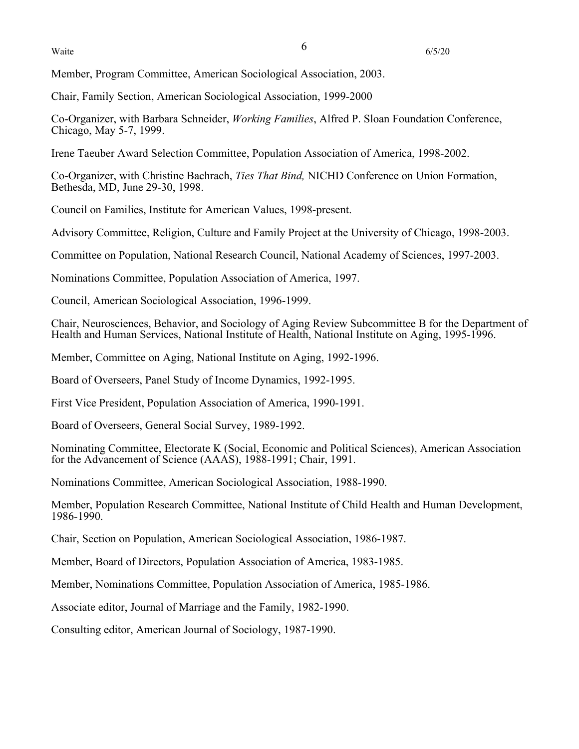Member, Program Committee, American Sociological Association, 2003.

Chair, Family Section, American Sociological Association, 1999-2000

Co-Organizer, with Barbara Schneider, *Working Families*, Alfred P. Sloan Foundation Conference, Chicago, May 5-7, 1999.

Irene Taeuber Award Selection Committee, Population Association of America, 1998-2002.

Co-Organizer, with Christine Bachrach, *Ties That Bind,* NICHD Conference on Union Formation, Bethesda, MD, June 29-30, 1998.

Council on Families, Institute for American Values, 1998-present.

Advisory Committee, Religion, Culture and Family Project at the University of Chicago, 1998-2003.

Committee on Population, National Research Council, National Academy of Sciences, 1997-2003.

Nominations Committee, Population Association of America, 1997.

Council, American Sociological Association, 1996-1999.

Chair, Neurosciences, Behavior, and Sociology of Aging Review Subcommittee B for the Department of Health and Human Services, National Institute of Health, National Institute on Aging, 1995-1996.

Member, Committee on Aging, National Institute on Aging, 1992-1996.

Board of Overseers, Panel Study of Income Dynamics, 1992-1995.

First Vice President, Population Association of America, 1990-1991.

Board of Overseers, General Social Survey, 1989-1992.

Nominating Committee, Electorate K (Social, Economic and Political Sciences), American Association for the Advancement of Science (AAAS), 1988-1991; Chair, 1991.

Nominations Committee, American Sociological Association, 1988-1990.

Member, Population Research Committee, National Institute of Child Health and Human Development, 1986-1990.

Chair, Section on Population, American Sociological Association, 1986-1987.

Member, Board of Directors, Population Association of America, 1983-1985.

Member, Nominations Committee, Population Association of America, 1985-1986.

Associate editor, Journal of Marriage and the Family, 1982-1990.

Consulting editor, American Journal of Sociology, 1987-1990.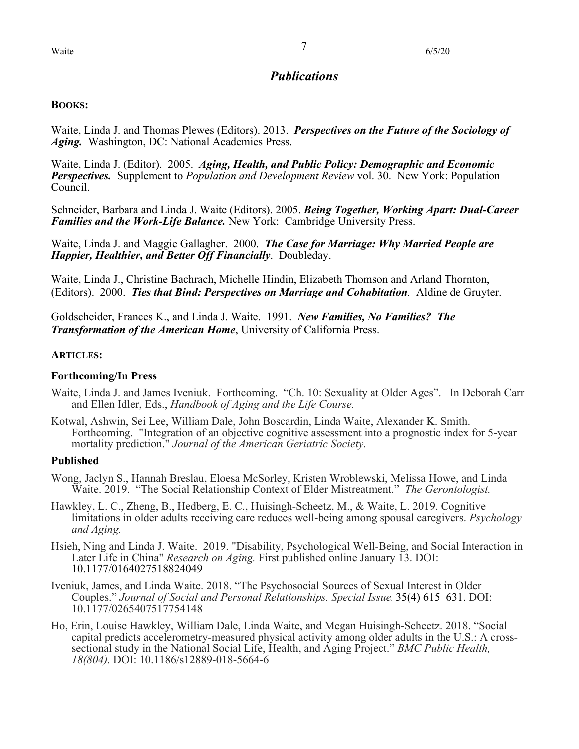# *Publications*

## **BOOKS:**

Waite, Linda J. and Thomas Plewes (Editors). 2013. *Perspectives on the Future of the Sociology of Aging.* Washington, DC: National Academies Press.

Waite, Linda J. (Editor). 2005. *Aging, Health, and Public Policy: Demographic and Economic Perspectives.* Supplement to *Population and Development Review* vol. 30. New York: Population Council.

Schneider, Barbara and Linda J. Waite (Editors). 2005. *Being Together, Working Apart: Dual-Career Families and the Work-Life Balance.* New York: Cambridge University Press.

Waite, Linda J. and Maggie Gallagher. 2000. *The Case for Marriage: Why Married People are Happier, Healthier, and Better Off Financially*. Doubleday.

Waite, Linda J., Christine Bachrach, Michelle Hindin, Elizabeth Thomson and Arland Thornton, (Editors). 2000. *Ties that Bind: Perspectives on Marriage and Cohabitation.* Aldine de Gruyter.

Goldscheider, Frances K., and Linda J. Waite. 1991. *New Families, No Families? The Transformation of the American Home*, University of California Press.

## **ARTICLES:**

## **Forthcoming/In Press**

- Waite, Linda J. and James Iveniuk. Forthcoming. "Ch. 10: Sexuality at Older Ages". In Deborah Carr and Ellen Idler, Eds., *Handbook of Aging and the Life Course.*
- Kotwal, Ashwin, Sei Lee, William Dale, John Boscardin, Linda Waite, Alexander K. Smith. Forthcoming. "Integration of an objective cognitive assessment into a prognostic index for 5-year mortality prediction." *Journal of the American Geriatric Society.*

## **Published**

- Wong, Jaclyn S., Hannah Breslau, Eloesa McSorley, Kristen Wroblewski, Melissa Howe, and Linda Waite. 2019. "The Social Relationship Context of Elder Mistreatment." *The Gerontologist.*
- Hawkley, L. C., Zheng, B., Hedberg, E. C., Huisingh-Scheetz, M., & Waite, L. 2019. Cognitive limitations in older adults receiving care reduces well-being among spousal caregivers. *Psychology and Aging.*
- Hsieh, Ning and Linda J. Waite. 2019. "Disability, Psychological Well-Being, and Social Interaction in Later Life in China" *Research on Aging.* First published online January 13. DOI: 10.1177/0164027518824049
- Iveniuk, James, and Linda Waite. 2018. "The Psychosocial Sources of Sexual Interest in Older Couples." *Journal of Social and Personal Relationships. Special Issue*. 35(4) 615–631. DOI: 10.1177/0265407517754148
- Ho, Erin, Louise Hawkley, William Dale, Linda Waite, and Megan Huisingh-Scheetz. 2018. "Social capital predicts accelerometry-measured physical activity among older adults in the U.S.: A crosssectional study in the National Social Life, Health, and Aging Project." *BMC Public Health, 18(804).* DOI: 10.1186/s12889-018-5664-6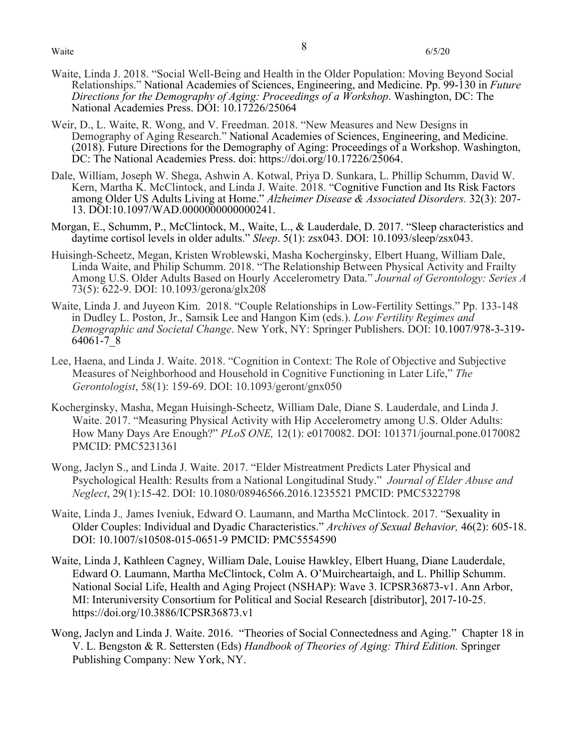- Waite, Linda J. 2018. "Social Well-Being and Health in the Older Population: Moving Beyond Social Relationships." National Academies of Sciences, Engineering, and Medicine. Pp. 99-130 in *Future Directions for the Demography of Aging: Proceedings of a Workshop*. Washington, DC: The National Academies Press. DOI: 10.17226/25064
- Weir, D., L. Waite, R. Wong, and V. Freedman. 2018. "New Measures and New Designs in Demography of Aging Research." National Academies of Sciences, Engineering, and Medicine. (2018). Future Directions for the Demography of Aging: Proceedings of a Workshop. Washington, DC: The National Academies Press. doi: https://doi.org/10.17226/25064.
- Dale, William, Joseph W. Shega, Ashwin A. Kotwal, Priya D. Sunkara, L. Phillip Schumm, David W. Kern, Martha K. McClintock, and Linda J. Waite. 2018. "Cognitive Function and Its Risk Factors among Older US Adults Living at Home." *Alzheimer Disease & Associated Disorders.* 32(3): 207- 13. DOI:10.1097/WAD.0000000000000241.
- Morgan, E., Schumm, P., McClintock, M., Waite, L., & Lauderdale, D. 2017. "Sleep characteristics and daytime cortisol levels in older adults." *Sleep*. 5(1): zsx043. DOI: 10.1093/sleep/zsx043.
- Huisingh-Scheetz, Megan, Kristen Wroblewski, Masha Kocherginsky, Elbert Huang, William Dale, Linda Waite, and Philip Schumm. 2018. "The Relationship Between Physical Activity and Frailty Among U.S. Older Adults Based on Hourly Accelerometry Data." *Journal of Gerontology: Series A*  73(5): 622-9. DOI: 10.1093/gerona/glx208
- Waite, Linda J. and Juyeon Kim. 2018. "Couple Relationships in Low-Fertility Settings." Pp. 133-148 in Dudley L. Poston, Jr., Samsik Lee and Hangon Kim (eds.). *Low Fertility Regimes and Demographic and Societal Change*. New York, NY: Springer Publishers. DOI: 10.1007/978-3-319- 64061-7\_8
- Lee, Haena, and Linda J. Waite. 2018. "Cognition in Context: The Role of Objective and Subjective Measures of Neighborhood and Household in Cognitive Functioning in Later Life," *The Gerontologist*, 58(1): 159-69. DOI: 10.1093/geront/gnx050
- Kocherginsky, Masha, Megan Huisingh-Scheetz, William Dale, Diane S. Lauderdale, and Linda J. Waite. 2017. "Measuring Physical Activity with Hip Accelerometry among U.S. Older Adults: How Many Days Are Enough?" *PLoS ONE,* 12(1): e0170082. DOI: 101371/journal.pone.0170082 PMCID: PMC5231361
- Wong, Jaclyn S., and Linda J. Waite. 2017. "Elder Mistreatment Predicts Later Physical and Psychological Health: Results from a National Longitudinal Study." *Journal of Elder Abuse and Neglect*, 29(1):15-42. DOI: 10.1080/08946566.2016.1235521 PMCID: PMC5322798
- Waite, Linda J.*,* James Iveniuk, Edward O. Laumann, and Martha McClintock. 2017. "Sexuality in Older Couples: Individual and Dyadic Characteristics." *Archives of Sexual Behavior,* 46(2): 605-18. DOI: 10.1007/s10508-015-0651-9 PMCID: PMC5554590
- Waite, Linda J, Kathleen Cagney, William Dale, Louise Hawkley, Elbert Huang, Diane Lauderdale, Edward O. Laumann, Martha McClintock, Colm A. O'Muircheartaigh, and L. Phillip Schumm. National Social Life, Health and Aging Project (NSHAP): Wave 3. ICPSR36873-v1. Ann Arbor, MI: Interuniversity Consortium for Political and Social Research [distributor], 2017-10-25. https://doi.org/10.3886/ICPSR36873.v1
- Wong, Jaclyn and Linda J. Waite. 2016. "Theories of Social Connectedness and Aging." Chapter 18 in V. L. Bengston & R. Settersten (Eds) *Handbook of Theories of Aging: Third Edition.* Springer Publishing Company: New York, NY.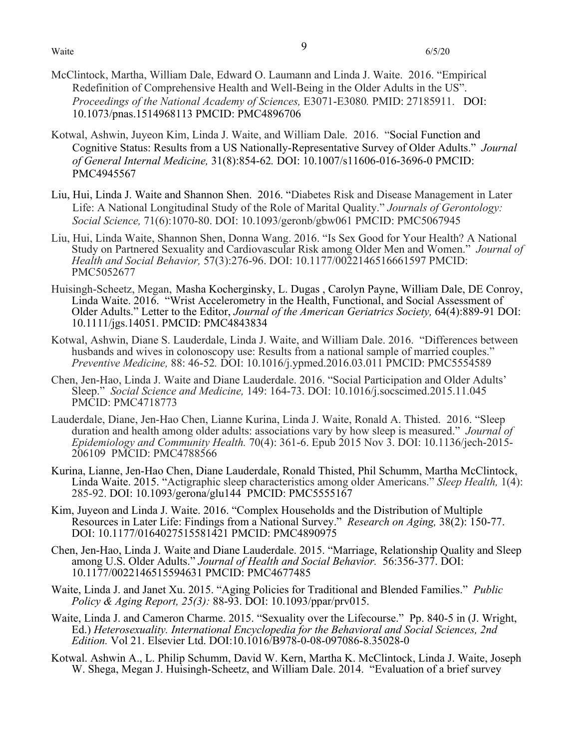- McClintock, Martha, William Dale, Edward O. Laumann and Linda J. Waite. 2016. "Empirical Redefinition of Comprehensive Health and Well-Being in the Older Adults in the US". *Proceedings of the National Academy of Sciences,* E3071-E3080*.* PMID: 27185911. DOI: 10.1073/pnas.1514968113 PMCID: PMC4896706
- Kotwal, Ashwin, Juyeon Kim, Linda J. Waite, and William Dale. 2016. "Social Function and Cognitive Status: Results from a US Nationally-Representative Survey of Older Adults." *Journal of General Internal Medicine,* 31(8):854-62*.* DOI: 10.1007/s11606-016-3696-0 PMCID: PMC4945567
- Liu, Hui, Linda J. Waite and Shannon Shen. 2016. "Diabetes Risk and Disease Management in Later Life: A National Longitudinal Study of the Role of Marital Quality." *Journals of Gerontology: Social Science,* 71(6):1070-80. DOI: 10.1093/geronb/gbw061 PMCID: PMC5067945
- Liu, Hui, Linda Waite, Shannon Shen, Donna Wang. 2016. "Is Sex Good for Your Health? A National Study on Partnered Sexuality and Cardiovascular Risk among Older Men and Women." *Journal of Health and Social Behavior,* 57(3):276-96. DOI: 10.1177/0022146516661597 PMCID: PMC5052677
- Huisingh-Scheetz, Megan, Masha Kocherginsky, L. Dugas , Carolyn Payne, William Dale, DE Conroy, Linda Waite. 2016. "Wrist Accelerometry in the Health, Functional, and Social Assessment of Older Adults." Letter to the Editor, *Journal of the American Geriatrics Society,* 64(4):889-91 DOI: 10.1111/jgs.14051. PMCID: PMC4843834
- Kotwal, Ashwin, Diane S. Lauderdale, Linda J. Waite, and William Dale. 2016. "Differences between husbands and wives in colonoscopy use: Results from a national sample of married couples." *Preventive Medicine,* 88: 46-52*.* DOI: 10.1016/j.ypmed.2016.03.011 PMCID: PMC5554589
- Chen, Jen-Hao, Linda J. Waite and Diane Lauderdale. 2016. "Social Participation and Older Adults' Sleep." *Social Science and Medicine,* 149: 164-73. DOI: 10.1016/j.socscimed.2015.11.045 PMCID: PMC4718773
- Lauderdale, Diane, Jen-Hao Chen, Lianne Kurina, Linda J. Waite, Ronald A. Thisted. 2016. "Sleep duration and health among older adults: associations vary by how sleep is measured." *Journal of Epidemiology and Community Health.* 70(4): 361-6. Epub 2015 Nov 3. DOI: 10.1136/jech-2015- 206109PMCID: PMC4788566
- Kurina, Lianne, Jen-Hao Chen, Diane Lauderdale, Ronald Thisted, Phil Schumm, Martha McClintock, Linda Waite. 2015. "Actigraphic sleep characteristics among older Americans." *Sleep Health,* 1(4): 285-92. DOI: 10.1093/gerona/glu144 PMCID: PMC5555167
- Kim, Juyeon and Linda J. Waite. 2016. "Complex Households and the Distribution of Multiple Resources in Later Life: Findings from a National Survey." *Research on Aging,* 38(2): 150-77. DOI: 10.1177/0164027515581421 PMCID: PMC4890975
- Chen, Jen-Hao, Linda J. Waite and Diane Lauderdale. 2015. "Marriage, Relationship Quality and Sleep among U.S. Older Adults." *Journal of Health and Social Behavior.* 56:356-377. DOI: 10.1177/0022146515594631 PMCID: PMC4677485
- Waite, Linda J. and Janet Xu. 2015. "Aging Policies for Traditional and Blended Families." *Public Policy & Aging Report, 25(3):* 88-93. DOI: 10.1093/ppar/prv015.
- Waite, Linda J. and Cameron Charme. 2015. "Sexuality over the Lifecourse." Pp. 840-5 in (J. Wright, Ed.) *Heterosexuality. International Encyclopedia for the Behavioral and Social Sciences, 2nd Edition.* Vol 21. Elsevier Ltd. DOI:10.1016/B978-0-08-097086-8.35028-0
- Kotwal. Ashwin A., L. Philip Schumm, David W. Kern, Martha K. McClintock, Linda J. Waite, Joseph W. Shega, Megan J. Huisingh-Scheetz, and William Dale. 2014. "Evaluation of a brief survey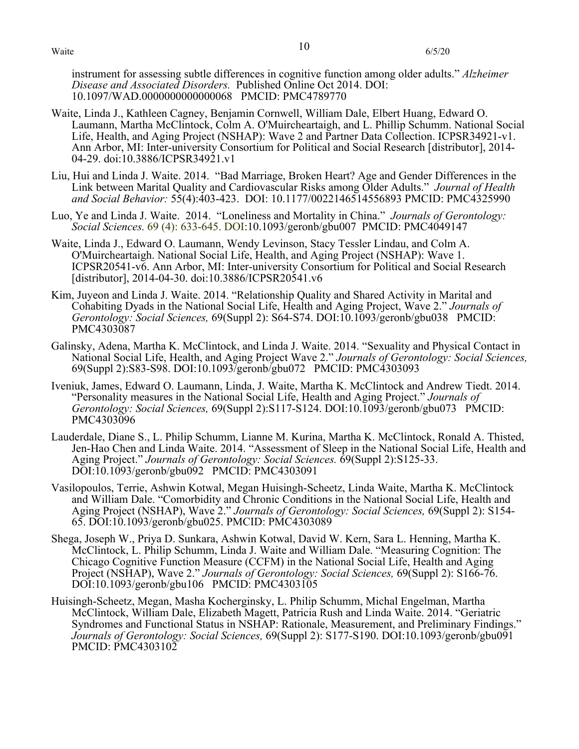Waite  $10$  6/5/20

instrument for assessing subtle differences in cognitive function among older adults." *Alzheimer Disease and Associated Disorders.* Published Online Oct 2014. DOI: 10.1097/WAD.0000000000000068 PMCID: PMC4789770

- Waite, Linda J., Kathleen Cagney, Benjamin Cornwell, William Dale, Elbert Huang, Edward O. Laumann, Martha McClintock, Colm A. O'Muircheartaigh, and L. Phillip Schumm. National Social Life, Health, and Aging Project (NSHAP): Wave 2 and Partner Data Collection. ICPSR34921-v1. Ann Arbor, MI: Inter-university Consortium for Political and Social Research [distributor], 2014- 04-29. doi:10.3886/ICPSR34921.v1
- Liu, Hui and Linda J. Waite. 2014. "Bad Marriage, Broken Heart? Age and Gender Differences in the Link between Marital Quality and Cardiovascular Risks among Older Adults." *Journal of Health and Social Behavior:* 55(4):403-423. DOI: 10.1177/0022146514556893 PMCID: PMC4325990
- Luo, Ye and Linda J. Waite. 2014. "Loneliness and Mortality in China." *Journals of Gerontology: Social Sciences.* 69 (4): 633-645. DOI:10.1093/geronb/gbu007 PMCID: PMC4049147
- Waite, Linda J., Edward O. Laumann, Wendy Levinson, Stacy Tessler Lindau, and Colm A. O'Muircheartaigh. National Social Life, Health, and Aging Project (NSHAP): Wave 1. ICPSR20541-v6. Ann Arbor, MI: Inter-university Consortium for Political and Social Research [distributor], 2014-04-30. doi:10.3886/ICPSR20541.v6
- Kim, Juyeon and Linda J. Waite. 2014. "Relationship Quality and Shared Activity in Marital and Cohabiting Dyads in the National Social Life, Health and Aging Project, Wave 2." *Journals of Gerontology: Social Sciences,* 69(Suppl 2): S64-S74. DOI:10.1093/geronb/gbu038 PMCID: PMC4303087
- Galinsky, Adena, Martha K. McClintock, and Linda J. Waite. 2014. "Sexuality and Physical Contact in National Social Life, Health, and Aging Project Wave 2." *Journals of Gerontology: Social Sciences,* 69(Suppl 2):S83-S98. DOI:10.1093/geronb/gbu072 PMCID: PMC4303093
- Iveniuk, James, Edward O. Laumann, Linda, J. Waite, Martha K. McClintock and Andrew Tiedt. 2014. "Personality measures in the National Social Life, Health and Aging Project." *Journals of Gerontology: Social Sciences,* 69(Suppl 2):S117-S124. DOI:10.1093/geronb/gbu073 PMCID: PMC4303096
- Lauderdale, Diane S., L. Philip Schumm, Lianne M. Kurina, Martha K. McClintock, Ronald A. Thisted, Jen-Hao Chen and Linda Waite. 2014. "Assessment of Sleep in the National Social Life, Health and Aging Project." *Journals of Gerontology: Social Sciences.* 69(Suppl 2):S125-33. DOI:10.1093/geronb/gbu092 PMCID: PMC4303091
- Vasilopoulos, Terrie, Ashwin Kotwal, Megan Huisingh-Scheetz, Linda Waite, Martha K. McClintock and William Dale. "Comorbidity and Chronic Conditions in the National Social Life, Health and Aging Project (NSHAP), Wave 2." *Journals of Gerontology: Social Sciences,* 69(Suppl 2): S154- 65. DOI:10.1093/geronb/gbu025. PMCID: PMC4303089
- Shega, Joseph W., Priya D. Sunkara, Ashwin Kotwal, David W. Kern, Sara L. Henning, Martha K. McClintock, L. Philip Schumm, Linda J. Waite and William Dale. "Measuring Cognition: The Chicago Cognitive Function Measure (CCFM) in the National Social Life, Health and Aging Project (NSHAP), Wave 2." *Journals of Gerontology: Social Sciences,* 69(Suppl 2): S166-76. DOI:10.1093/geronb/gbu106 PMCID: PMC4303105
- Huisingh-Scheetz, Megan, Masha Kocherginsky, L. Philip Schumm, Michal Engelman, Martha McClintock, William Dale, Elizabeth Magett, Patricia Rush and Linda Waite. 2014. "Geriatric Syndromes and Functional Status in NSHAP: Rationale, Measurement, and Preliminary Findings." *Journals of Gerontology: Social Sciences,* 69(Suppl 2): S177-S190. DOI:10.1093/geronb/gbu091 PMCID: PMC4303102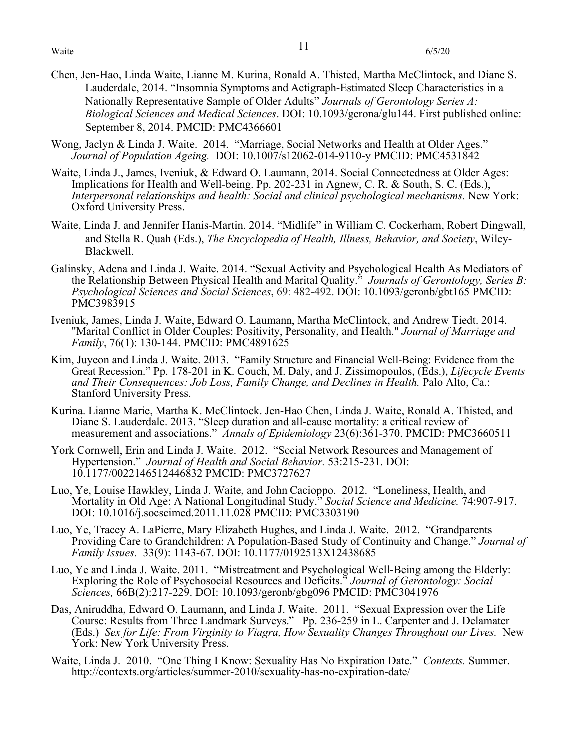- Chen, Jen-Hao, Linda Waite, Lianne M. Kurina, Ronald A. Thisted, Martha McClintock, and Diane S. Lauderdale, 2014. "Insomnia Symptoms and Actigraph-Estimated Sleep Characteristics in a Nationally Representative Sample of Older Adults" *Journals of Gerontology Series A: Biological Sciences and Medical Sciences*. DOI: 10.1093/gerona/glu144. First published online: September 8, 2014. PMCID: PMC4366601
- Wong, Jaclyn & Linda J. Waite. 2014. "Marriage, Social Networks and Health at Older Ages." *Journal of Population Ageing.* DOI: 10.1007/s12062-014-9110-y PMCID: PMC4531842
- Waite, Linda J., James, Iveniuk, & Edward O. Laumann, 2014. Social Connectedness at Older Ages: Implications for Health and Well-being. Pp. 202-231 in Agnew, C. R. & South, S. C. (Eds.), *Interpersonal relationships and health: Social and clinical psychological mechanisms.* New York: Oxford University Press.
- Waite, Linda J. and Jennifer Hanis-Martin. 2014. "Midlife" in William C. Cockerham, Robert Dingwall, and Stella R. Quah (Eds.), *The Encyclopedia of Health, Illness, Behavior, and Society*, Wiley-Blackwell.
- Galinsky, Adena and Linda J. Waite. 2014. "Sexual Activity and Psychological Health As Mediators of the Relationship Between Physical Health and Marital Quality." *Journals of Gerontology, Series B: Psychological Sciences and Social Sciences*, 69: 482-492. DOI: 10.1093/geronb/gbt165 PMCID: PMC3983915
- Iveniuk, James, Linda J. Waite, Edward O. Laumann, Martha McClintock, and Andrew Tiedt. 2014. "Marital Conflict in Older Couples: Positivity, Personality, and Health." *Journal of Marriage and Family*, 76(1): 130-144. PMCID: PMC4891625
- Kim, Juyeon and Linda J. Waite. 2013. "Family Structure and Financial Well-Being: Evidence from the Great Recession." Pp. 178-201 in K. Couch, M. Daly, and J. Zissimopoulos, (Eds.), *Lifecycle Events and Their Consequences: Job Loss, Family Change, and Declines in Health.* Palo Alto, Ca.: Stanford University Press.
- Kurina. Lianne Marie, Martha K. McClintock. Jen-Hao Chen, Linda J. Waite, Ronald A. Thisted, and Diane S. Lauderdale. 2013. "Sleep duration and all-cause mortality: a critical review of measurement and associations." *Annals of Epidemiology* 23(6):361-370. PMCID: PMC3660511
- York Cornwell, Erin and Linda J. Waite. 2012. "Social Network Resources and Management of Hypertension." *Journal of Health and Social Behavior.* 53:215-231. DOI: 10.1177/0022146512446832 PMCID: PMC3727627
- Luo, Ye, Louise Hawkley, Linda J. Waite, and John Cacioppo. 2012. "Loneliness, Health, and Mortality in Old Age: A National Longitudinal Study." *Social Science and Medicine.* 74:907-917. DOI: 10.1016/j.socscimed.2011.11.028 PMCID: PMC3303190
- Luo, Ye, Tracey A. LaPierre, Mary Elizabeth Hughes, and Linda J. Waite. 2012. "Grandparents Providing Care to Grandchildren: A Population-Based Study of Continuity and Change." *Journal of Family Issues.* 33(9): 1143-67. DOI: 10.1177/0192513X12438685
- Luo, Ye and Linda J. Waite. 2011. "Mistreatment and Psychological Well-Being among the Elderly: Exploring the Role of Psychosocial Resources and Deficits." *Journal of Gerontology: Social Sciences,* 66B(2):217-229. DOI: 10.1093/geronb/gbg096 PMCID: PMC3041976
- Das, Aniruddha, Edward O. Laumann, and Linda J. Waite. 2011. "Sexual Expression over the Life Course: Results from Three Landmark Surveys." Pp. 236-259 in L. Carpenter and J. Delamater (Eds.) *Sex for Life: From Virginity to Viagra, How Sexuality Changes Throughout our Lives.* New York: New York University Press.
- Waite, Linda J. 2010. "One Thing I Know: Sexuality Has No Expiration Date." *Contexts.* Summer. http://contexts.org/articles/summer-2010/sexuality-has-no-expiration-date/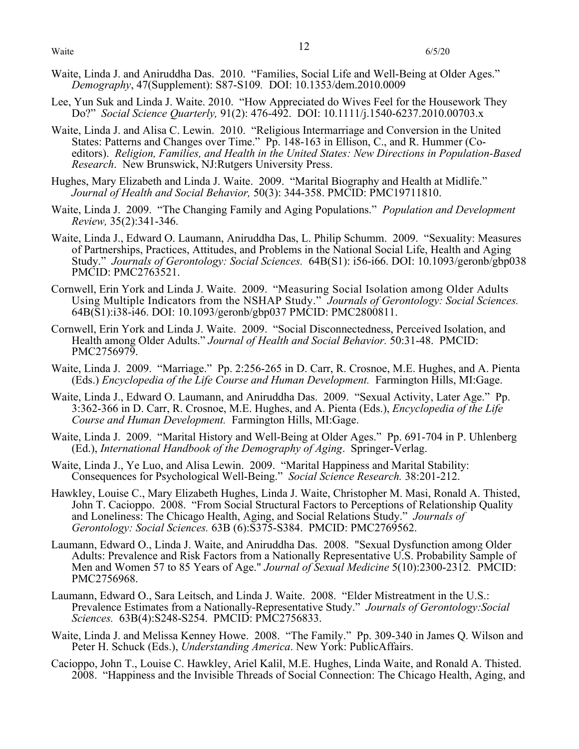- Waite, Linda J. and Aniruddha Das. 2010. "Families, Social Life and Well-Being at Older Ages." *Demography*, 47(Supplement): S87-S109*.* DOI: 10.1353/dem.2010.0009
- Lee, Yun Suk and Linda J. Waite. 2010. "How Appreciated do Wives Feel for the Housework They Do?" *Social Science Quarterly,* 91(2): 476-492. DOI: 10.1111/j.1540-6237.2010.00703.x
- Waite, Linda J. and Alisa C. Lewin. 2010. "Religious Intermarriage and Conversion in the United States: Patterns and Changes over Time." Pp. 148-163 in Ellison, C., and R. Hummer (Coeditors). *Religion, Families, and Health in the United States: New Directions in Population-Based Research*. New Brunswick, NJ:Rutgers University Press.
- Hughes, Mary Elizabeth and Linda J. Waite. 2009. "Marital Biography and Health at Midlife." *Journal of Health and Social Behavior,* 50(3): 344-358. PMCID: PMC19711810.
- Waite, Linda J. 2009. "The Changing Family and Aging Populations." *Population and Development Review,* 35(2):341-346.
- Waite, Linda J., Edward O. Laumann, Aniruddha Das, L. Philip Schumm. 2009. "Sexuality: Measures of Partnerships, Practices, Attitudes, and Problems in the National Social Life, Health and Aging Study." *Journals of Gerontology: Social Sciences.* 64B(S1): i56-i66. DOI: 10.1093/geronb/gbp038 PMCID: PMC2763521.
- Cornwell, Erin York and Linda J. Waite. 2009. "Measuring Social Isolation among Older Adults Using Multiple Indicators from the NSHAP Study." *Journals of Gerontology: Social Sciences.*  64B(S1):i38-i46. DOI: 10.1093/geronb/gbp037 PMCID: PMC2800811.
- Cornwell, Erin York and Linda J. Waite. 2009. "Social Disconnectedness, Perceived Isolation, and Health among Older Adults." *Journal of Health and Social Behavior.* 50:31-48. PMCID: PMC2756979.
- Waite, Linda J. 2009. "Marriage." Pp. 2:256-265 in D. Carr, R. Crosnoe, M.E. Hughes, and A. Pienta (Eds.) *Encyclopedia of the Life Course and Human Development.* Farmington Hills, MI:Gage.
- Waite, Linda J., Edward O. Laumann, and Aniruddha Das. 2009. "Sexual Activity, Later Age." Pp. 3:362-366 in D. Carr, R. Crosnoe, M.E. Hughes, and A. Pienta (Eds.), *Encyclopedia of the Life Course and Human Development.* Farmington Hills, MI:Gage.
- Waite, Linda J. 2009. "Marital History and Well-Being at Older Ages." Pp. 691-704 in P. Uhlenberg (Ed.), *International Handbook of the Demography of Aging*. Springer-Verlag.
- Waite, Linda J., Ye Luo, and Alisa Lewin. 2009. "Marital Happiness and Marital Stability: Consequences for Psychological Well-Being." *Social Science Research.* 38:201-212.
- Hawkley, Louise C., Mary Elizabeth Hughes, Linda J. Waite, Christopher M. Masi, Ronald A. Thisted, John T. Cacioppo. 2008. "From Social Structural Factors to Perceptions of Relationship Quality and Loneliness: The Chicago Health, Aging, and Social Relations Study." *Journals of Gerontology: Social Sciences.* 63B (6):S375-S384. PMCID: PMC2769562.
- Laumann, Edward O., Linda J. Waite, and Aniruddha Das. 2008. "Sexual Dysfunction among Older Adults: Prevalence and Risk Factors from a Nationally Representative U.S. Probability Sample of Men and Women 57 to 85 Years of Age." *Journal of Sexual Medicine* 5(10):2300-2312*.* PMCID: PMC2756968.
- Laumann, Edward O., Sara Leitsch, and Linda J. Waite. 2008. "Elder Mistreatment in the U.S.: Prevalence Estimates from a Nationally-Representative Study." *Journals of Gerontology:Social Sciences.* 63B(4):S248-S254. PMCID: PMC2756833.
- Waite, Linda J. and Melissa Kenney Howe. 2008. "The Family." Pp. 309-340 in James Q. Wilson and Peter H. Schuck (Eds.), *Understanding America*. New York: PublicAffairs.
- Cacioppo, John T., Louise C. Hawkley, Ariel Kalil, M.E. Hughes, Linda Waite, and Ronald A. Thisted. 2008. "Happiness and the Invisible Threads of Social Connection: The Chicago Health, Aging, and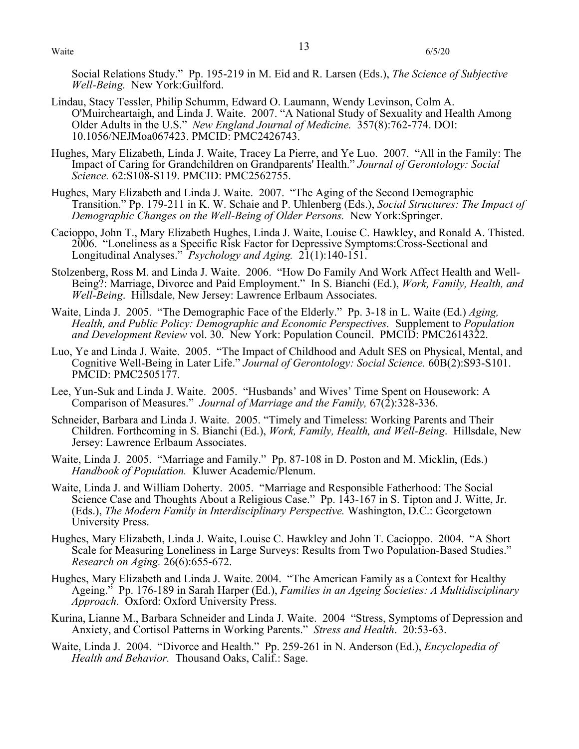Waite  $\frac{13}{6/5/20}$ 

Social Relations Study." Pp. 195-219 in M. Eid and R. Larsen (Eds.), *The Science of Subjective Well-Being.* New York:Guilford.

- Lindau, Stacy Tessler, Philip Schumm, Edward O. Laumann, Wendy Levinson, Colm A. O'Muircheartaigh, and Linda J. Waite. 2007. "A National Study of Sexuality and Health Among Older Adults in the U.S." *New England Journal of Medicine.* 357(8):762-774. DOI: 10.1056/NEJMoa067423. PMCID: PMC2426743.
- Hughes, Mary Elizabeth, Linda J. Waite, Tracey La Pierre, and Ye Luo. 2007. "All in the Family: The Impact of Caring for Grandchildren on Grandparents' Health." *Journal of Gerontology: Social Science.* 62:S108-S119. PMCID: PMC2562755.
- Hughes, Mary Elizabeth and Linda J. Waite. 2007. "The Aging of the Second Demographic Transition." Pp. 179-211 in K. W. Schaie and P. Uhlenberg (Eds.), *Social Structures: The Impact of Demographic Changes on the Well-Being of Older Persons.* New York:Springer.
- Cacioppo, John T., Mary Elizabeth Hughes, Linda J. Waite, Louise C. Hawkley, and Ronald A. Thisted. 2006. "Loneliness as a Specific Risk Factor for Depressive Symptoms:Cross-Sectional and Longitudinal Analyses." *Psychology and Aging.* 21(1):140-151.
- Stolzenberg, Ross M. and Linda J. Waite. 2006. "How Do Family And Work Affect Health and Well-Being?: Marriage, Divorce and Paid Employment." In S. Bianchi (Ed.), *Work, Family, Health, and Well-Being*. Hillsdale, New Jersey: Lawrence Erlbaum Associates.
- Waite, Linda J. 2005. "The Demographic Face of the Elderly." Pp. 3-18 in L. Waite (Ed.) *Aging, Health, and Public Policy: Demographic and Economic Perspectives.* Supplement to *Population and Development Review* vol. 30. New York: Population Council. PMCID: PMC2614322.
- Luo, Ye and Linda J. Waite. 2005. "The Impact of Childhood and Adult SES on Physical, Mental, and Cognitive Well-Being in Later Life." *Journal of Gerontology: Social Science.* 60B(2):S93-S101. PMCID: PMC2505177.
- Lee, Yun-Suk and Linda J. Waite. 2005. "Husbands' and Wives' Time Spent on Housework: A Comparison of Measures." *Journal of Marriage and the Family,* 67(2):328-336.
- Schneider, Barbara and Linda J. Waite. 2005. "Timely and Timeless: Working Parents and Their Children. Forthcoming in S. Bianchi (Ed.), *Work, Family, Health, and Well-Being*. Hillsdale, New Jersey: Lawrence Erlbaum Associates.
- Waite, Linda J. 2005. "Marriage and Family." Pp. 87-108 in D. Poston and M. Micklin, (Eds.) *Handbook of Population.* Kluwer Academic/Plenum.
- Waite, Linda J. and William Doherty. 2005. "Marriage and Responsible Fatherhood: The Social Science Case and Thoughts About a Religious Case." Pp. 143-167 in S. Tipton and J. Witte, Jr. (Eds.), *The Modern Family in Interdisciplinary Perspective.* Washington, D.C.: Georgetown University Press.
- Hughes, Mary Elizabeth, Linda J. Waite, Louise C. Hawkley and John T. Cacioppo. 2004. "A Short Scale for Measuring Loneliness in Large Surveys: Results from Two Population-Based Studies." *Research on Aging.* 26(6):655-672.
- Hughes, Mary Elizabeth and Linda J. Waite. 2004. "The American Family as a Context for Healthy Ageing." Pp. 176-189 in Sarah Harper (Ed.), *Families in an Ageing Societies: A Multidisciplinary Approach.* Oxford: Oxford University Press.
- Kurina, Lianne M., Barbara Schneider and Linda J. Waite. 2004 "Stress, Symptoms of Depression and Anxiety, and Cortisol Patterns in Working Parents." *Stress and Health*. 20:53-63.
- Waite, Linda J. 2004. "Divorce and Health." Pp. 259-261 in N. Anderson (Ed.), *Encyclopedia of Health and Behavior.* Thousand Oaks, Calif.: Sage.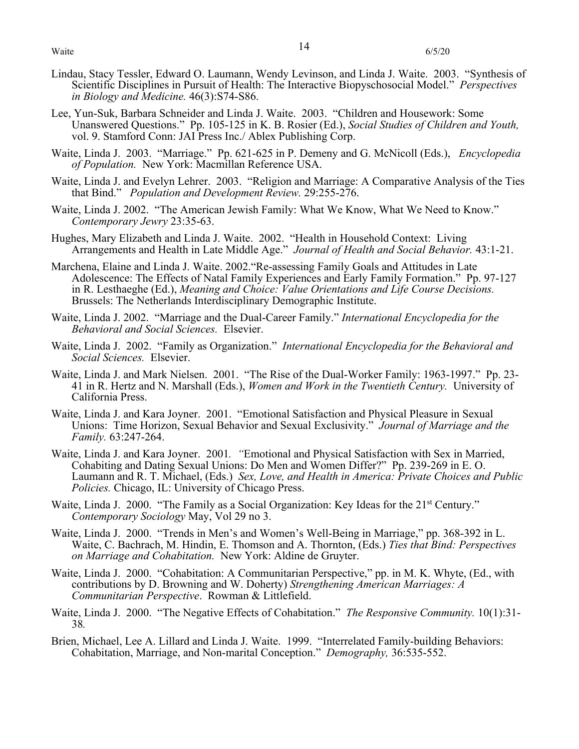- Lindau, Stacy Tessler, Edward O. Laumann, Wendy Levinson, and Linda J. Waite. 2003. "Synthesis of Scientific Disciplines in Pursuit of Health: The Interactive Biopyschosocial Model." *Perspectives in Biology and Medicine.* 46(3):S74-S86.
- Lee, Yun-Suk, Barbara Schneider and Linda J. Waite. 2003. "Children and Housework: Some Unanswered Questions." Pp. 105-125 in K. B. Rosier (Ed.), *Social Studies of Children and Youth,* vol. 9. Stamford Conn: JAI Press Inc./ Ablex Publishing Corp.
- Waite, Linda J. 2003. "Marriage." Pp. 621-625 in P. Demeny and G. McNicoll (Eds.), *Encyclopedia of Population.* New York: Macmillan Reference USA.
- Waite, Linda J. and Evelyn Lehrer. 2003. "Religion and Marriage: A Comparative Analysis of the Ties that Bind." *Population and Development Review.* 29:255-276.
- Waite, Linda J. 2002. "The American Jewish Family: What We Know, What We Need to Know." *Contemporary Jewry* 23:35-63.
- Hughes, Mary Elizabeth and Linda J. Waite. 2002. "Health in Household Context: Living Arrangements and Health in Late Middle Age." *Journal of Health and Social Behavior.* 43:1-21.
- Marchena, Elaine and Linda J. Waite. 2002."Re-assessing Family Goals and Attitudes in Late Adolescence: The Effects of Natal Family Experiences and Early Family Formation." Pp. 97-127 in R. Lesthaeghe (Ed.), *Meaning and Choice: Value Orientations and Life Course Decisions.* Brussels: The Netherlands Interdisciplinary Demographic Institute.
- Waite, Linda J. 2002. "Marriage and the Dual-Career Family." *International Encyclopedia for the Behavioral and Social Sciences.* Elsevier.
- Waite, Linda J. 2002. "Family as Organization." *International Encyclopedia for the Behavioral and Social Sciences.* Elsevier.
- Waite, Linda J. and Mark Nielsen. 2001. "The Rise of the Dual-Worker Family: 1963-1997." Pp. 23- 41 in R. Hertz and N. Marshall (Eds.), *Women and Work in the Twentieth Century.* University of California Press.
- Waite, Linda J. and Kara Joyner. 2001. "Emotional Satisfaction and Physical Pleasure in Sexual Unions: Time Horizon, Sexual Behavior and Sexual Exclusivity." *Journal of Marriage and the Family.* 63:247-264.
- Waite, Linda J. and Kara Joyner. 2001*. "*Emotional and Physical Satisfaction with Sex in Married, Cohabiting and Dating Sexual Unions: Do Men and Women Differ?" Pp. 239-269 in E. O. Laumann and R. T. Michael, (Eds.) *Sex, Love, and Health in America: Private Choices and Public Policies.* Chicago, IL: University of Chicago Press.
- Waite, Linda J. 2000. "The Family as a Social Organization: Key Ideas for the 21<sup>st</sup> Century." *Contemporary Sociology* May, Vol 29 no 3.
- Waite, Linda J. 2000. "Trends in Men's and Women's Well-Being in Marriage," pp. 368-392 in L. Waite, C. Bachrach, M. Hindin, E. Thomson and A. Thornton, (Eds.) *Ties that Bind: Perspectives on Marriage and Cohabitation.* New York: Aldine de Gruyter.
- Waite, Linda J. 2000. "Cohabitation: A Communitarian Perspective," pp. in M. K. Whyte, (Ed., with contributions by D. Browning and W. Doherty) *Strengthening American Marriages: A Communitarian Perspective*. Rowman & Littlefield.
- Waite, Linda J. 2000. "The Negative Effects of Cohabitation." *The Responsive Community.* 10(1):31- 38*.*
- Brien, Michael, Lee A. Lillard and Linda J. Waite. 1999. "Interrelated Family-building Behaviors: Cohabitation, Marriage, and Non-marital Conception." *Demography,* 36:535-552.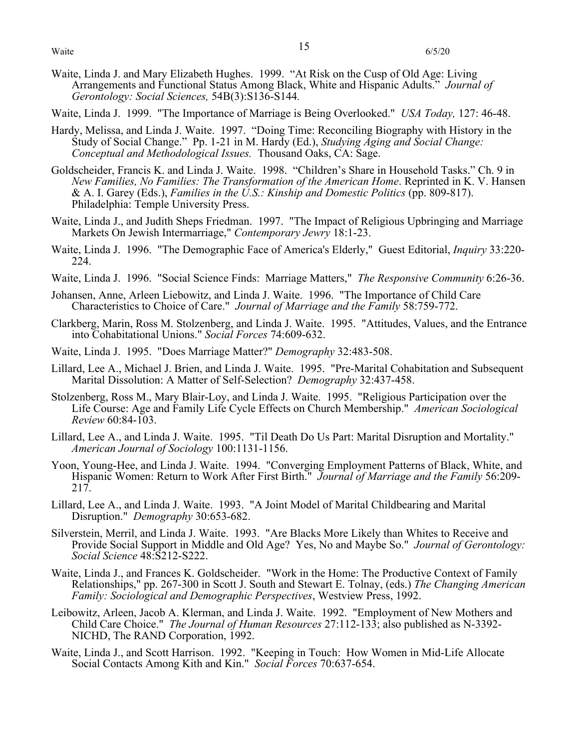- Waite, Linda J. and Mary Elizabeth Hughes. 1999. "At Risk on the Cusp of Old Age: Living Arrangements and Functional Status Among Black, White and Hispanic Adults." *Journal of Gerontology: Social Sciences,* 54B(3):S136-S144*.*
- Waite, Linda J. 1999. "The Importance of Marriage is Being Overlooked." *USA Today,* 127: 46-48.
- Hardy, Melissa, and Linda J. Waite. 1997. "Doing Time: Reconciling Biography with History in the Study of Social Change." Pp. 1-21 in M. Hardy (Ed.), *Studying Aging and Social Change: Conceptual and Methodological Issues.* Thousand Oaks, CA: Sage.
- Goldscheider, Francis K. and Linda J. Waite. 1998. "Children's Share in Household Tasks." Ch. 9 in *New Families, No Families: The Transformation of the American Home*. Reprinted in K. V. Hansen & A. I. Garey (Eds.), *Families in the U.S.: Kinship and Domestic Politics* (pp. 809-817). Philadelphia: Temple University Press.
- Waite, Linda J., and Judith Sheps Friedman. 1997. "The Impact of Religious Upbringing and Marriage Markets On Jewish Intermarriage," *Contemporary Jewry* 18:1-23.
- Waite, Linda J. 1996. "The Demographic Face of America's Elderly," Guest Editorial, *Inquiry* 33:220- 224.
- Waite, Linda J. 1996. "Social Science Finds: Marriage Matters," *The Responsive Community* 6:26-36.
- Johansen, Anne, Arleen Liebowitz, and Linda J. Waite. 1996. "The Importance of Child Care Characteristics to Choice of Care." *Journal of Marriage and the Family* 58:759-772.
- Clarkberg, Marin, Ross M. Stolzenberg, and Linda J. Waite. 1995. "Attitudes, Values, and the Entrance into Cohabitational Unions." *Social Forces* 74:609-632.
- Waite, Linda J. 1995. "Does Marriage Matter?" *Demography* 32:483-508.
- Lillard, Lee A., Michael J. Brien, and Linda J. Waite. 1995. "Pre-Marital Cohabitation and Subsequent Marital Dissolution: A Matter of Self-Selection? *Demography* 32:437-458.
- Stolzenberg, Ross M., Mary Blair-Loy, and Linda J. Waite. 1995. "Religious Participation over the Life Course: Age and Family Life Cycle Effects on Church Membership." *American Sociological Review* 60:84-103.
- Lillard, Lee A., and Linda J. Waite. 1995. "Til Death Do Us Part: Marital Disruption and Mortality." *American Journal of Sociology* 100:1131-1156.
- Yoon, Young-Hee, and Linda J. Waite. 1994. "Converging Employment Patterns of Black, White, and Hispanic Women: Return to Work After First Birth." *Journal of Marriage and the Family* 56:209- 217.
- Lillard, Lee A., and Linda J. Waite. 1993. "A Joint Model of Marital Childbearing and Marital Disruption." *Demography* 30:653-682.
- Silverstein, Merril, and Linda J. Waite. 1993. "Are Blacks More Likely than Whites to Receive and Provide Social Support in Middle and Old Age? Yes, No and Maybe So." *Journal of Gerontology: Social Science* 48:S212-S222.
- Waite, Linda J., and Frances K. Goldscheider. "Work in the Home: The Productive Context of Family Relationships," pp. 267-300 in Scott J. South and Stewart E. Tolnay, (eds.) *The Changing American Family: Sociological and Demographic Perspectives*, Westview Press, 1992.
- Leibowitz, Arleen, Jacob A. Klerman, and Linda J. Waite. 1992. "Employment of New Mothers and Child Care Choice." *The Journal of Human Resources* 27:112-133; also published as N-3392- NICHD, The RAND Corporation, 1992.
- Waite, Linda J., and Scott Harrison. 1992. "Keeping in Touch: How Women in Mid-Life Allocate Social Contacts Among Kith and Kin." *Social Forces* 70:637-654.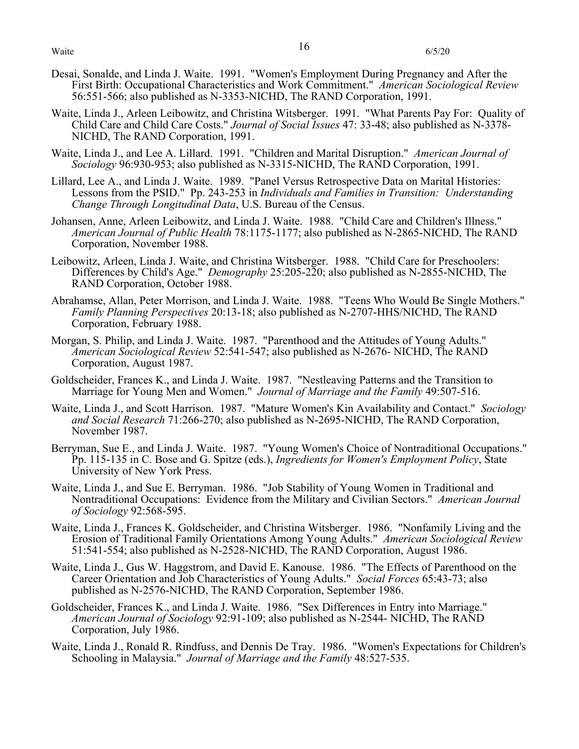- Desai, Sonalde, and Linda J. Waite. 1991. "Women's Employment During Pregnancy and After the First Birth: Occupational Characteristics and Work Commitment." *American Sociological Review* 56:551-566; also published as N-3353-NICHD, The RAND Corporation, 1991.
- Waite, Linda J., Arleen Leibowitz, and Christina Witsberger. 1991. "What Parents Pay For: Quality of Child Care and Child Care Costs." *Journal of Social Issues* 47: 33-48; also published as N-3378- NICHD, The RAND Corporation, 1991.
- Waite, Linda J., and Lee A. Lillard. 1991. "Children and Marital Disruption." *American Journal of Sociology* 96:930-953; also published as N-3315-NICHD, The RAND Corporation, 1991.
- Lillard, Lee A., and Linda J. Waite. 1989. "Panel Versus Retrospective Data on Marital Histories: Lessons from the PSID." Pp. 243-253 in *Individuals and Families in Transition: Understanding Change Through Longitudinal Data*, U.S. Bureau of the Census.
- Johansen, Anne, Arleen Leibowitz, and Linda J. Waite. 1988. "Child Care and Children's Illness." *American Journal of Public Health* 78:1175-1177; also published as N-2865-NICHD, The RAND Corporation, November 1988.
- Leibowitz, Arleen, Linda J. Waite, and Christina Witsberger. 1988. "Child Care for Preschoolers: Differences by Child's Age." *Demography* 25:205-220; also published as N-2855-NICHD, The RAND Corporation, October 1988.
- Abrahamse, Allan, Peter Morrison, and Linda J. Waite. 1988. "Teens Who Would Be Single Mothers." *Family Planning Perspectives* 20:13-18; also published as N-2707-HHS/NICHD, The RAND Corporation, February 1988.
- Morgan, S. Philip, and Linda J. Waite. 1987. "Parenthood and the Attitudes of Young Adults." *American Sociological Review* 52:541-547; also published as N-2676- NICHD, The RAND Corporation, August 1987.
- Goldscheider, Frances K., and Linda J. Waite. 1987. "Nestleaving Patterns and the Transition to Marriage for Young Men and Women." *Journal of Marriage and the Family* 49:507-516.
- Waite, Linda J., and Scott Harrison. 1987. "Mature Women's Kin Availability and Contact." *Sociology and Social Research* 71:266-270; also published as N-2695-NICHD, The RAND Corporation, November 1987.
- Berryman, Sue E., and Linda J. Waite. 1987. "Young Women's Choice of Nontraditional Occupations." Pp. 115-135 in C. Bose and G. Spitze (eds.), *Ingredients for Women's Employment Policy*, State University of New York Press.
- Waite, Linda J., and Sue E. Berryman. 1986. "Job Stability of Young Women in Traditional and Nontraditional Occupations: Evidence from the Military and Civilian Sectors." *American Journal of Sociology* 92:568-595.
- Waite, Linda J., Frances K. Goldscheider, and Christina Witsberger. 1986. "Nonfamily Living and the Erosion of Traditional Family Orientations Among Young Adults." *American Sociological Review* 51:541-554; also published as N-2528-NICHD, The RAND Corporation, August 1986.
- Waite, Linda J., Gus W. Haggstrom, and David E. Kanouse. 1986. "The Effects of Parenthood on the Career Orientation and Job Characteristics of Young Adults." *Social Forces* 65:43-73; also published as N-2576-NICHD, The RAND Corporation, September 1986.
- Goldscheider, Frances K., and Linda J. Waite. 1986. "Sex Differences in Entry into Marriage." *American Journal of Sociology* 92:91-109; also published as N-2544- NICHD, The RAND Corporation, July 1986.
- Waite, Linda J., Ronald R. Rindfuss, and Dennis De Tray. 1986. "Women's Expectations for Children's Schooling in Malaysia." *Journal of Marriage and the Family* 48:527-535.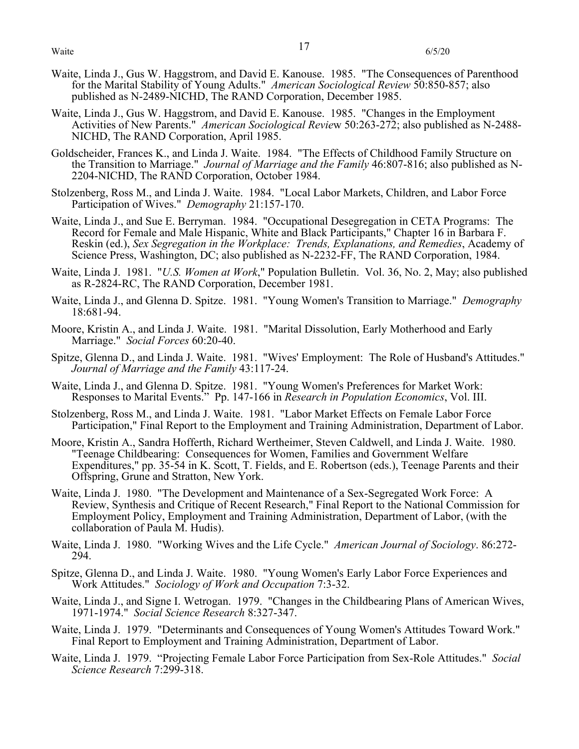- Waite, Linda J., Gus W. Haggstrom, and David E. Kanouse. 1985. "The Consequences of Parenthood for the Marital Stability of Young Adults." *American Sociological Review* 50:850-857; also published as N-2489-NICHD, The RAND Corporation, December 1985.
- Waite, Linda J., Gus W. Haggstrom, and David E. Kanouse. 1985. "Changes in the Employment Activities of New Parents." *American Sociological Revie*w 50:263-272; also published as N-2488- NICHD, The RAND Corporation, April 1985.
- Goldscheider, Frances K., and Linda J. Waite. 1984. "The Effects of Childhood Family Structure on the Transition to Marriage." *Journal of Marriage and the Family* 46:807-816; also published as N-2204-NICHD, The RAND Corporation, October 1984.
- Stolzenberg, Ross M., and Linda J. Waite. 1984. "Local Labor Markets, Children, and Labor Force Participation of Wives." *Demography* 21:157-170.
- Waite, Linda J., and Sue E. Berryman. 1984. "Occupational Desegregation in CETA Programs: The Record for Female and Male Hispanic, White and Black Participants," Chapter 16 in Barbara F. Reskin (ed.), *Sex Segregation in the Workplace: Trends, Explanations, and Remedies*, Academy of Science Press, Washington, DC; also published as N-2232-FF, The RAND Corporation, 1984.
- Waite, Linda J. 1981. "*U.S. Women at Work*," Population Bulletin. Vol. 36, No. 2, May; also published as R-2824-RC, The RAND Corporation, December 1981.
- Waite, Linda J., and Glenna D. Spitze. 1981. "Young Women's Transition to Marriage." *Demography* 18:681-94.
- Moore, Kristin A., and Linda J. Waite. 1981. "Marital Dissolution, Early Motherhood and Early Marriage." *Social Forces* 60:20-40.
- Spitze, Glenna D., and Linda J. Waite. 1981. "Wives' Employment: The Role of Husband's Attitudes." *Journal of Marriage and the Family* 43:117-24.
- Waite, Linda J., and Glenna D. Spitze. 1981. "Young Women's Preferences for Market Work: Responses to Marital Events." Pp. 147-166 in *Research in Population Economics*, Vol. III.
- Stolzenberg, Ross M., and Linda J. Waite. 1981. "Labor Market Effects on Female Labor Force Participation," Final Report to the Employment and Training Administration, Department of Labor.
- Moore, Kristin A., Sandra Hofferth, Richard Wertheimer, Steven Caldwell, and Linda J. Waite. 1980. "Teenage Childbearing: Consequences for Women, Families and Government Welfare Expenditures," pp. 35-54 in K. Scott, T. Fields, and E. Robertson (eds.), Teenage Parents and their Offspring, Grune and Stratton, New York.
- Waite, Linda J. 1980. "The Development and Maintenance of a Sex-Segregated Work Force: A Review, Synthesis and Critique of Recent Research," Final Report to the National Commission for Employment Policy, Employment and Training Administration, Department of Labor, (with the collaboration of Paula M. Hudis).
- Waite, Linda J. 1980. "Working Wives and the Life Cycle." *American Journal of Sociology*. 86:272- 294.
- Spitze, Glenna D., and Linda J. Waite. 1980. "Young Women's Early Labor Force Experiences and Work Attitudes." *Sociology of Work and Occupation* 7:3-32.
- Waite, Linda J., and Signe I. Wetrogan. 1979. "Changes in the Childbearing Plans of American Wives, 1971-1974." *Social Science Research* 8:327-347.
- Waite, Linda J. 1979. "Determinants and Consequences of Young Women's Attitudes Toward Work." Final Report to Employment and Training Administration, Department of Labor.
- Waite, Linda J. 1979. "Projecting Female Labor Force Participation from Sex-Role Attitudes." *Social Science Research* 7:299-318.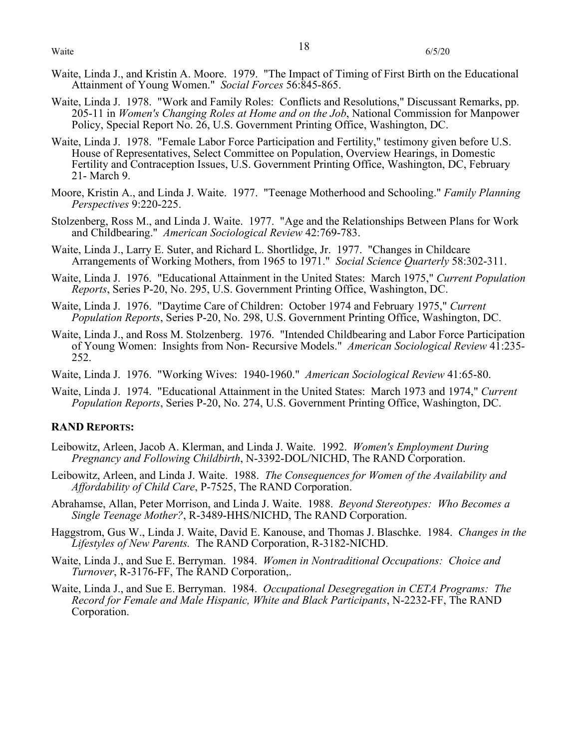- Waite, Linda J., and Kristin A. Moore. 1979. "The Impact of Timing of First Birth on the Educational Attainment of Young Women." *Social Forces* 56:845-865.
- Waite, Linda J. 1978. "Work and Family Roles: Conflicts and Resolutions," Discussant Remarks, pp. 205-11 in *Women's Changing Roles at Home and on the Job*, National Commission for Manpower Policy, Special Report No. 26, U.S. Government Printing Office, Washington, DC.
- Waite, Linda J. 1978. "Female Labor Force Participation and Fertility," testimony given before U.S. House of Representatives, Select Committee on Population, Overview Hearings, in Domestic Fertility and Contraception Issues, U.S. Government Printing Office, Washington, DC, February 21- March 9.
- Moore, Kristin A., and Linda J. Waite. 1977. "Teenage Motherhood and Schooling." *Family Planning Perspectives* 9:220-225.
- Stolzenberg, Ross M., and Linda J. Waite. 1977. "Age and the Relationships Between Plans for Work and Childbearing." *American Sociological Review* 42:769-783.
- Waite, Linda J., Larry E. Suter, and Richard L. Shortlidge, Jr. 1977. "Changes in Childcare Arrangements of Working Mothers, from 1965 to 1971." *Social Science Quarterly* 58:302-311.
- Waite, Linda J. 1976. "Educational Attainment in the United States: March 1975," *Current Population Reports*, Series P-20, No. 295, U.S. Government Printing Office, Washington, DC.
- Waite, Linda J. 1976. "Daytime Care of Children: October 1974 and February 1975," *Current Population Reports*, Series P-20, No. 298, U.S. Government Printing Office, Washington, DC.
- Waite, Linda J., and Ross M. Stolzenberg. 1976. "Intended Childbearing and Labor Force Participation of Young Women: Insights from Non- Recursive Models." *American Sociological Review* 41:235- 252.
- Waite, Linda J. 1976. "Working Wives: 1940-1960." *American Sociological Review* 41:65-80.
- Waite, Linda J. 1974. "Educational Attainment in the United States: March 1973 and 1974," *Current Population Reports*, Series P-20, No. 274, U.S. Government Printing Office, Washington, DC.

## **RAND REPORTS:**

- Leibowitz, Arleen, Jacob A. Klerman, and Linda J. Waite. 1992. *Women's Employment During Pregnancy and Following Childbirth*, N-3392-DOL/NICHD, The RAND Corporation.
- Leibowitz, Arleen, and Linda J. Waite. 1988. *The Consequences for Women of the Availability and Affordability of Child Care*, P-7525, The RAND Corporation.
- Abrahamse, Allan, Peter Morrison, and Linda J. Waite. 1988. *Beyond Stereotypes: Who Becomes a Single Teenage Mother?*, R-3489-HHS/NICHD, The RAND Corporation.
- Haggstrom, Gus W., Linda J. Waite, David E. Kanouse, and Thomas J. Blaschke. 1984. *Changes in the Lifestyles of New Parents.* The RAND Corporation, R-3182-NICHD.
- Waite, Linda J., and Sue E. Berryman. 1984. *Women in Nontraditional Occupations: Choice and Turnover*, R-3176-FF, The RAND Corporation,.
- Waite, Linda J., and Sue E. Berryman. 1984. *Occupational Desegregation in CETA Programs: The Record for Female and Male Hispanic, White and Black Participants*, N-2232-FF, The RAND Corporation.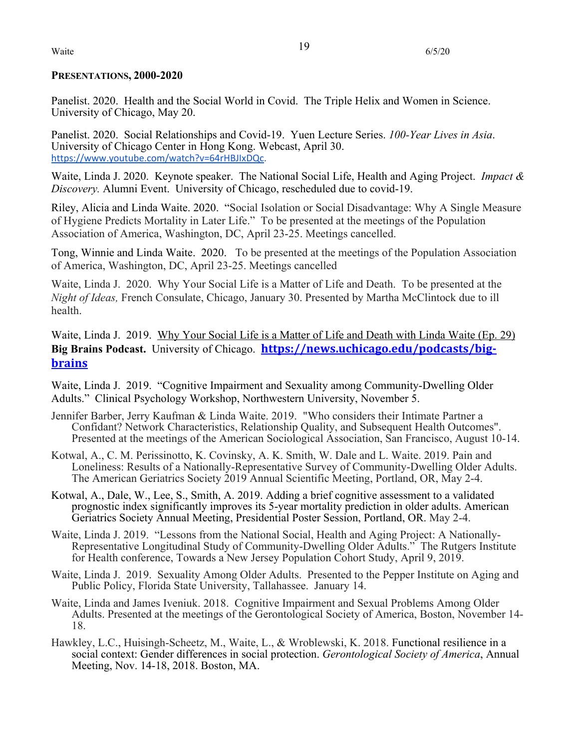## **PRESENTATIONS, 2000-2020**

Panelist. 2020. Health and the Social World in Covid. The Triple Helix and Women in Science. University of Chicago, May 20.

Panelist. 2020. Social Relationships and Covid-19. Yuen Lecture Series. *100-Year Lives in Asia*. University of Chicago Center in Hong Kong. Webcast, April 30. https://www.youtube.com/watch?v=64rHBJIxDQc.

Waite, Linda J. 2020. Keynote speaker. The National Social Life, Health and Aging Project. *Impact & Discovery.* Alumni Event. University of Chicago, rescheduled due to covid-19.

Riley, Alicia and Linda Waite. 2020. "Social Isolation or Social Disadvantage: Why A Single Measure of Hygiene Predicts Mortality in Later Life." To be presented at the meetings of the Population Association of America, Washington, DC, April 23-25. Meetings cancelled.

Tong, Winnie and Linda Waite. 2020. To be presented at the meetings of the Population Association of America, Washington, DC, April 23-25. Meetings cancelled

Waite, Linda J. 2020. Why Your Social Life is a Matter of Life and Death. To be presented at the *Night of Ideas,* French Consulate, Chicago, January 30. Presented by Martha McClintock due to ill health.

Waite, Linda J. 2019.Why Your Social Life is a Matter of Life and Death with Linda Waite (Ep. 29) **Big Brains Podcast.** University of Chicago. **https://news.uchicago.edu/podcasts/bigbrains**

Waite, Linda J. 2019. "Cognitive Impairment and Sexuality among Community-Dwelling Older Adults." Clinical Psychology Workshop, Northwestern University, November 5.

- Jennifer Barber, Jerry Kaufman & Linda Waite. 2019. "Who considers their Intimate Partner a Presented at the meetings of the American Sociological Association, San Francisco, August 10-14.
- Kotwal, A., C. M. Perissinotto, K. Covinsky, A. K. Smith, W. Dale and L. Waite. 2019. Pain and Loneliness: Results of a Nationally-Representative Survey of Community-Dwelling Older Adults. The American Geriatrics Society 2019 Annual Scientific Meeting, Portland, OR, May 2-4.
- Kotwal, A., Dale, W., Lee, S., Smith, A. 2019. Adding a brief cognitive assessment to a validated prognostic index significantly improves its 5-year mortality prediction in older adults. American Geriatrics Society Annual Meeting, Presidential Poster Session, Portland, OR. May 2-4.
- Waite, Linda J. 2019. "Lessons from the National Social, Health and Aging Project: A Nationally- Representative Longitudinal Study of Community-Dwelling Older Adults." The Rutgers Institute for Health conference, Towards a New Jersey Population Cohort Study, April 9, 2019.
- Waite, Linda J. 2019. Sexuality Among Older Adults. Presented to the Pepper Institute on Aging and Public Policy, Florida State University, Tallahassee. January 14.
- Waite, Linda and James Iveniuk. 2018. Cognitive Impairment and Sexual Problems Among Older Adults. Presented at the meetings of the Gerontological Society of America, Boston, November 14- 18.
- Hawkley, L.C., Huisingh-Scheetz, M., Waite, L., & Wroblewski, K. 2018. Functional resilience in a social context: Gender differences in social protection. *Gerontological Society of America*, Annual Meeting, Nov. 14-18, 2018. Boston, MA.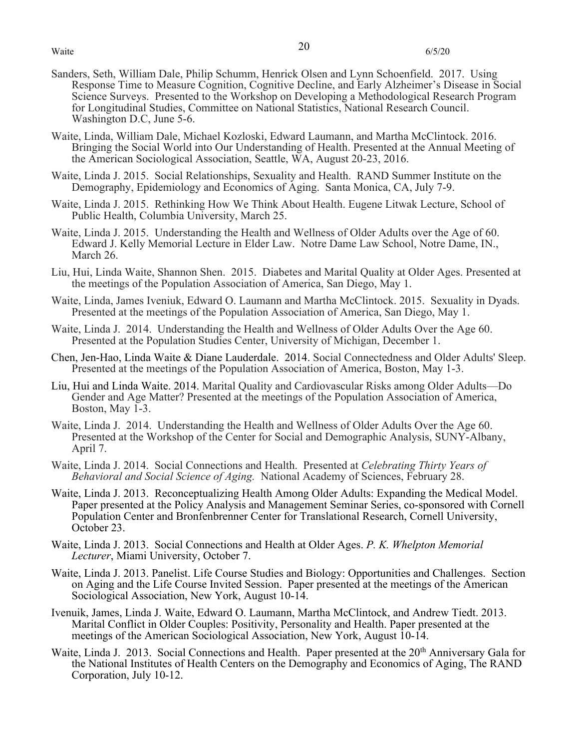- Sanders, Seth, William Dale, Philip Schumm, Henrick Olsen and Lynn Schoenfield. 2017. Using Response Time to Measure Cognition, Cognitive Decline, and Early Alzheimer's Disease in Social Science Surveys. Presented to the Workshop on Developing a Methodological Research Program for Longitudinal Studies, Committee on National Statistics, National Research Council. Washington D.C, June 5-6.
- Waite, Linda, William Dale, Michael Kozloski, Edward Laumann, and Martha McClintock. 2016. Bringing the Social World into Our Understanding of Health. Presented at the Annual Meeting of the American Sociological Association, Seattle, WA, August 20-23, 2016.
- Waite, Linda J. 2015. Social Relationships, Sexuality and Health. RAND Summer Institute on the Demography, Epidemiology and Economics of Aging. Santa Monica, CA, July 7-9.
- Waite, Linda J. 2015. Rethinking How We Think About Health. Eugene Litwak Lecture, School of Public Health, Columbia University, March 25.
- Waite, Linda J. 2015. Understanding the Health and Wellness of Older Adults over the Age of 60. Edward J. Kelly Memorial Lecture in Elder Law. Notre Dame Law School, Notre Dame, IN., March 26.
- Liu, Hui, Linda Waite, Shannon Shen. 2015. Diabetes and Marital Quality at Older Ages. Presented at the meetings of the Population Association of America, San Diego, May 1.
- Waite, Linda, James Iveniuk, Edward O. Laumann and Martha McClintock. 2015. Sexuality in Dyads. Presented at the meetings of the Population Association of America, San Diego, May 1.
- Waite, Linda J. 2014. Understanding the Health and Wellness of Older Adults Over the Age 60. Presented at the Population Studies Center, University of Michigan, December 1.
- Chen, Jen-Hao, Linda Waite & Diane Lauderdale. 2014. Social Connectedness and Older Adults' Sleep. Presented at the meetings of the Population Association of America, Boston, May 1-3.
- Liu, Hui and Linda Waite. 2014. Marital Quality and Cardiovascular Risks among Older Adults—Do Gender and Age Matter? Presented at the meetings of the Population Association of America, Boston, May 1-3.
- Waite, Linda J. 2014. Understanding the Health and Wellness of Older Adults Over the Age 60. Presented at the Workshop of the Center for Social and Demographic Analysis, SUNY-Albany, April 7.
- Waite, Linda J. 2014. Social Connections and Health. Presented at *Celebrating Thirty Years of Behavioral and Social Science of Aging.* National Academy of Sciences, February 28.
- Waite, Linda J. 2013. Reconceptualizing Health Among Older Adults: Expanding the Medical Model. Paper presented at the Policy Analysis and Management Seminar Series, co-sponsored with Cornell Population Center and Bronfenbrenner Center for Translational Research, Cornell University, October 23.
- Waite, Linda J. 2013. Social Connections and Health at Older Ages. *P. K. Whelpton Memorial Lecturer*, Miami University, October 7.
- Waite, Linda J. 2013. Panelist. Life Course Studies and Biology: Opportunities and Challenges. Section on Aging and the Life Course Invited Session. Paper presented at the meetings of the American Sociological Association, New York, August 10-14.
- Ivenuik, James, Linda J. Waite, Edward O. Laumann, Martha McClintock, and Andrew Tiedt. 2013. Marital Conflict in Older Couples: Positivity, Personality and Health. Paper presented at the meetings of the American Sociological Association, New York, August 10-14.
- Waite, Linda J. 2013. Social Connections and Health. Paper presented at the 20<sup>th</sup> Anniversary Gala for the National Institutes of Health Centers on the Demography and Economics of Aging, The RAND Corporation, July 10-12.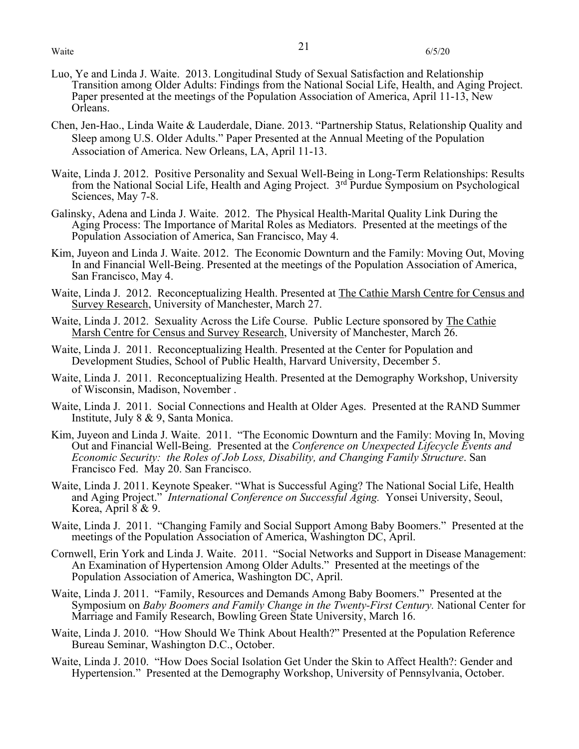- Luo, Ye and Linda J. Waite. 2013. Longitudinal Study of Sexual Satisfaction and Relationship Transition among Older Adults: Findings from the National Social Life, Health, and Aging Project. Paper presented at the meetings of the Population Association of America, April 11-13, New Orleans.
- Chen, Jen-Hao., Linda Waite & Lauderdale, Diane. 2013. "Partnership Status, Relationship Quality and Sleep among U.S. Older Adults." Paper Presented at the Annual Meeting of the Population Association of America. New Orleans, LA, April 11-13.
- Waite, Linda J. 2012. Positive Personality and Sexual Well-Being in Long-Term Relationships: Results from the National Social Life, Health and Aging Project. 3rd Purdue Symposium on Psychological Sciences, May 7-8.
- Galinsky, Adena and Linda J. Waite. 2012. The Physical Health-Marital Quality Link During the Aging Process: The Importance of Marital Roles as Mediators. Presented at the meetings of the Population Association of America, San Francisco, May 4.
- Kim, Juyeon and Linda J. Waite. 2012. The Economic Downturn and the Family: Moving Out, Moving In and Financial Well-Being. Presented at the meetings of the Population Association of America, San Francisco, May 4.
- Waite, Linda J. 2012. Reconceptualizing Health. Presented at The Cathie Marsh Centre for Census and Survey Research, University of Manchester, March 27.
- Waite, Linda J. 2012. Sexuality Across the Life Course. Public Lecture sponsored by The Cathie Marsh Centre for Census and Survey Research, University of Manchester, March 26.
- Waite, Linda J. 2011. Reconceptualizing Health. Presented at the Center for Population and Development Studies, School of Public Health, Harvard University, December 5.
- Waite, Linda J. 2011. Reconceptualizing Health. Presented at the Demography Workshop, University of Wisconsin, Madison, November .
- Waite, Linda J. 2011. Social Connections and Health at Older Ages. Presented at the RAND Summer Institute, July 8 & 9, Santa Monica.
- Kim, Juyeon and Linda J. Waite. 2011. "The Economic Downturn and the Family: Moving In, Moving Out and Financial Well-Being. Presented at the *Conference on Unexpected Lifecycle Events and Economic Security: the Roles of Job Loss, Disability, and Changing Family Structure*. San Francisco Fed. May 20. San Francisco.
- Waite, Linda J. 2011. Keynote Speaker. "What is Successful Aging? The National Social Life, Health and Aging Project." *International Conference on Successful Aging.* Yonsei University, Seoul, Korea, April 8 & 9.
- Waite, Linda J. 2011. "Changing Family and Social Support Among Baby Boomers." Presented at the meetings of the Population Association of America, Washington DC, April.
- Cornwell, Erin York and Linda J. Waite. 2011. "Social Networks and Support in Disease Management: An Examination of Hypertension Among Older Adults." Presented at the meetings of the Population Association of America, Washington DC, April.
- Waite, Linda J. 2011. "Family, Resources and Demands Among Baby Boomers." Presented at the Symposium on *Baby Boomers and Family Change in the Twenty-First Century.* National Center for Marriage and Family Research, Bowling Green State University, March 16.
- Waite, Linda J. 2010. "How Should We Think About Health?" Presented at the Population Reference Bureau Seminar, Washington D.C., October.
- Waite, Linda J. 2010. "How Does Social Isolation Get Under the Skin to Affect Health?: Gender and Hypertension." Presented at the Demography Workshop, University of Pennsylvania, October.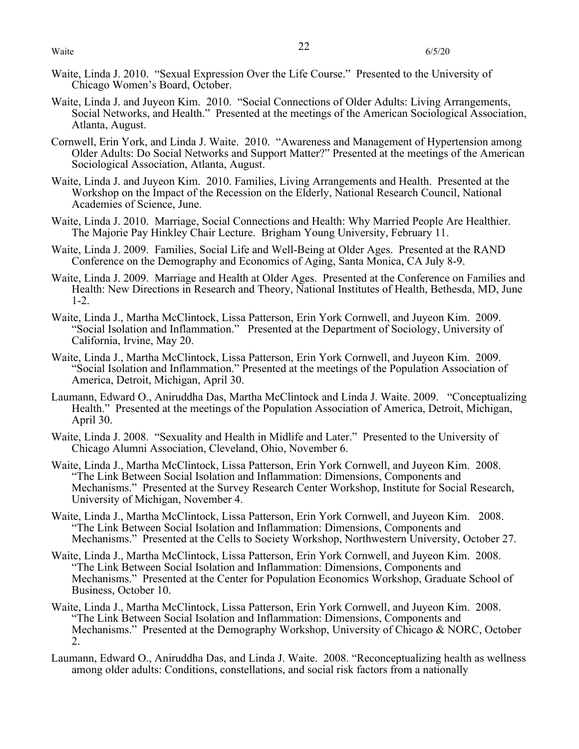- Waite, Linda J. 2010. "Sexual Expression Over the Life Course." Presented to the University of Chicago Women's Board, October.
- Waite, Linda J. and Juyeon Kim. 2010. "Social Connections of Older Adults: Living Arrangements, Social Networks, and Health." Presented at the meetings of the American Sociological Association, Atlanta, August.
- Cornwell, Erin York, and Linda J. Waite. 2010. "Awareness and Management of Hypertension among Older Adults: Do Social Networks and Support Matter?" Presented at the meetings of the American Sociological Association, Atlanta, August.
- Waite, Linda J. and Juyeon Kim. 2010. Families, Living Arrangements and Health. Presented at the Workshop on the Impact of the Recession on the Elderly, National Research Council, National Academies of Science, June.
- Waite, Linda J. 2010. Marriage, Social Connections and Health: Why Married People Are Healthier. The Majorie Pay Hinkley Chair Lecture. Brigham Young University, February 11.
- Waite, Linda J. 2009. Families, Social Life and Well-Being at Older Ages. Presented at the RAND Conference on the Demography and Economics of Aging, Santa Monica, CA July 8-9.
- Waite, Linda J. 2009. Marriage and Health at Older Ages. Presented at the Conference on Families and Health: New Directions in Research and Theory, National Institutes of Health, Bethesda, MD, June 1-2.
- Waite, Linda J., Martha McClintock, Lissa Patterson, Erin York Cornwell, and Juyeon Kim. 2009. "Social Isolation and Inflammation." Presented at the Department of Sociology, University of California, Irvine, May 20.
- Waite, Linda J., Martha McClintock, Lissa Patterson, Erin York Cornwell, and Juyeon Kim. 2009. "Social Isolation and Inflammation." Presented at the meetings of the Population Association of America, Detroit, Michigan, April 30.
- Laumann, Edward O., Aniruddha Das, Martha McClintock and Linda J. Waite. 2009. "Conceptualizing Health." Presented at the meetings of the Population Association of America, Detroit, Michigan, April 30.
- Waite, Linda J. 2008. "Sexuality and Health in Midlife and Later." Presented to the University of Chicago Alumni Association, Cleveland, Ohio, November 6.
- Waite, Linda J., Martha McClintock, Lissa Patterson, Erin York Cornwell, and Juyeon Kim. 2008. "The Link Between Social Isolation and Inflammation: Dimensions, Components and Mechanisms." Presented at the Survey Research Center Workshop, Institute for Social Research, University of Michigan, November 4.
- Waite, Linda J., Martha McClintock, Lissa Patterson, Erin York Cornwell, and Juyeon Kim. 2008. "The Link Between Social Isolation and Inflammation: Dimensions, Components and Mechanisms." Presented at the Cells to Society Workshop, Northwestern University, October 27.
- Waite, Linda J., Martha McClintock, Lissa Patterson, Erin York Cornwell, and Juyeon Kim. 2008. "The Link Between Social Isolation and Inflammation: Dimensions, Components and Mechanisms." Presented at the Center for Population Economics Workshop, Graduate School of Business, October 10.
- Waite, Linda J., Martha McClintock, Lissa Patterson, Erin York Cornwell, and Juyeon Kim. 2008. "The Link Between Social Isolation and Inflammation: Dimensions, Components and Mechanisms." Presented at the Demography Workshop, University of Chicago & NORC, October 2.
- Laumann, Edward O., Aniruddha Das, and Linda J. Waite. 2008. "Reconceptualizing health as wellness among older adults: Conditions, constellations, and social risk factors from a nationally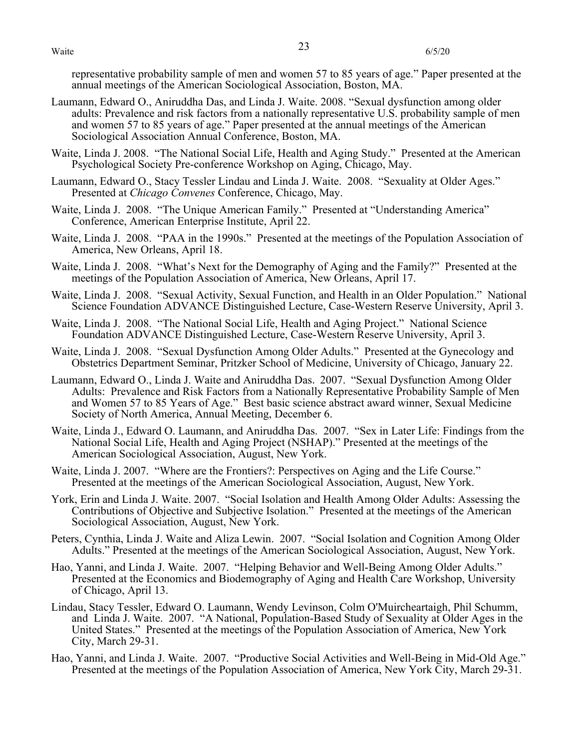representative probability sample of men and women 57 to 85 years of age." Paper presented at the annual meetings of the American Sociological Association, Boston, MA.

- Laumann, Edward O., Aniruddha Das, and Linda J. Waite. 2008. "Sexual dysfunction among older adults: Prevalence and risk factors from a nationally representative U.S. probability sample of men and women 57 to 85 years of age." Paper presented at the annual meetings of the American Sociological Association Annual Conference, Boston, MA.
- Waite, Linda J. 2008. "The National Social Life, Health and Aging Study." Presented at the American Psychological Society Pre-conference Workshop on Aging, Chicago, May.
- Laumann, Edward O., Stacy Tessler Lindau and Linda J. Waite. 2008. "Sexuality at Older Ages." Presented at *Chicago Convenes* Conference, Chicago, May.
- Waite, Linda J. 2008. "The Unique American Family." Presented at "Understanding America" Conference, American Enterprise Institute, April 22.
- Waite, Linda J. 2008. "PAA in the 1990s." Presented at the meetings of the Population Association of America, New Orleans, April 18.
- Waite, Linda J. 2008. "What's Next for the Demography of Aging and the Family?" Presented at the meetings of the Population Association of America, New Orleans, April 17.
- Waite, Linda J. 2008. "Sexual Activity, Sexual Function, and Health in an Older Population." National Science Foundation ADVANCE Distinguished Lecture, Case-Western Reserve University, April 3.
- Waite, Linda J. 2008. "The National Social Life, Health and Aging Project." National Science Foundation ADVANCE Distinguished Lecture, Case-Western Reserve University, April 3.
- Waite, Linda J. 2008. "Sexual Dysfunction Among Older Adults." Presented at the Gynecology and Obstetrics Department Seminar, Pritzker School of Medicine, University of Chicago, January 22.
- Laumann, Edward O., Linda J. Waite and Aniruddha Das. 2007. "Sexual Dysfunction Among Older Adults: Prevalence and Risk Factors from a Nationally Representative Probability Sample of Men and Women 57 to 85 Years of Age." Best basic science abstract award winner, Sexual Medicine Society of North America, Annual Meeting, December 6.
- Waite, Linda J., Edward O. Laumann, and Aniruddha Das. 2007. "Sex in Later Life: Findings from the National Social Life, Health and Aging Project (NSHAP)." Presented at the meetings of the American Sociological Association, August, New York.
- Waite, Linda J. 2007. "Where are the Frontiers?: Perspectives on Aging and the Life Course." Presented at the meetings of the American Sociological Association, August, New York.
- York, Erin and Linda J. Waite. 2007. "Social Isolation and Health Among Older Adults: Assessing the Contributions of Objective and Subjective Isolation." Presented at the meetings of the American Sociological Association, August, New York.
- Peters, Cynthia, Linda J. Waite and Aliza Lewin. 2007. "Social Isolation and Cognition Among Older Adults." Presented at the meetings of the American Sociological Association, August, New York.
- Hao, Yanni, and Linda J. Waite. 2007. "Helping Behavior and Well-Being Among Older Adults." Presented at the Economics and Biodemography of Aging and Health Care Workshop, University of Chicago, April 13.
- Lindau, Stacy Tessler, Edward O. Laumann, Wendy Levinson, Colm O'Muircheartaigh, Phil Schumm, and Linda J. Waite. 2007. "A National, Population-Based Study of Sexuality at Older Ages in the United States." Presented at the meetings of the Population Association of America, New York City, March 29-31.
- Hao, Yanni, and Linda J. Waite. 2007. "Productive Social Activities and Well-Being in Mid-Old Age." Presented at the meetings of the Population Association of America, New York City, March 29-31.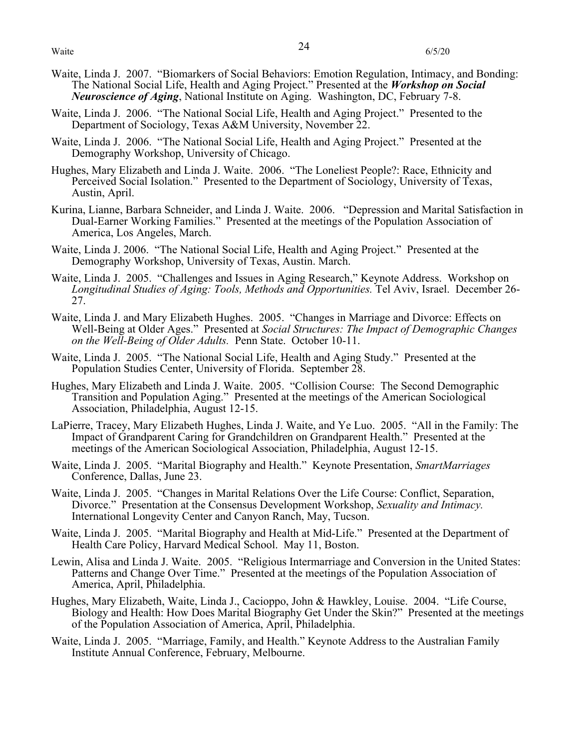- Waite, Linda J. 2007. "Biomarkers of Social Behaviors: Emotion Regulation, Intimacy, and Bonding: The National Social Life, Health and Aging Project." Presented at the *Workshop on Social Neuroscience of Aging*, National Institute on Aging. Washington, DC, February 7-8.
- Waite, Linda J. 2006. "The National Social Life, Health and Aging Project." Presented to the Department of Sociology, Texas A&M University, November 22.
- Waite, Linda J. 2006. "The National Social Life, Health and Aging Project." Presented at the Demography Workshop, University of Chicago.
- Hughes, Mary Elizabeth and Linda J. Waite. 2006. "The Loneliest People?: Race, Ethnicity and Perceived Social Isolation." Presented to the Department of Sociology, University of Texas, Austin, April.
- Kurina, Lianne, Barbara Schneider, and Linda J. Waite. 2006. "Depression and Marital Satisfaction in Dual-Earner Working Families." Presented at the meetings of the Population Association of America, Los Angeles, March.
- Waite, Linda J. 2006. "The National Social Life, Health and Aging Project." Presented at the Demography Workshop, University of Texas, Austin. March.
- Waite, Linda J. 2005. "Challenges and Issues in Aging Research," Keynote Address. Workshop on *Longitudinal Studies of Aging: Tools, Methods and Opportunities.* Tel Aviv, Israel. December 26- 27.
- Waite, Linda J. and Mary Elizabeth Hughes. 2005. "Changes in Marriage and Divorce: Effects on Well-Being at Older Ages." Presented at *Social Structures: The Impact of Demographic Changes on the Well-Being of Older Adults.* Penn State. October 10-11.
- Waite, Linda J. 2005. "The National Social Life, Health and Aging Study." Presented at the Population Studies Center, University of Florida. September 28.
- Hughes, Mary Elizabeth and Linda J. Waite. 2005. "Collision Course: The Second Demographic Transition and Population Aging." Presented at the meetings of the American Sociological Association, Philadelphia, August 12-15.
- LaPierre, Tracey, Mary Elizabeth Hughes, Linda J. Waite, and Ye Luo. 2005. "All in the Family: The Impact of Grandparent Caring for Grandchildren on Grandparent Health." Presented at the meetings of the American Sociological Association, Philadelphia, August 12-15.
- Waite, Linda J. 2005. "Marital Biography and Health." Keynote Presentation, *SmartMarriages*  Conference, Dallas, June 23.
- Waite, Linda J. 2005. "Changes in Marital Relations Over the Life Course: Conflict, Separation, Divorce." Presentation at the Consensus Development Workshop, *Sexuality and Intimacy.*  International Longevity Center and Canyon Ranch, May, Tucson.
- Waite, Linda J. 2005. "Marital Biography and Health at Mid-Life." Presented at the Department of Health Care Policy, Harvard Medical School. May 11, Boston.
- Lewin, Alisa and Linda J. Waite. 2005. "Religious Intermarriage and Conversion in the United States: Patterns and Change Over Time." Presented at the meetings of the Population Association of America, April, Philadelphia.
- Hughes, Mary Elizabeth, Waite, Linda J., Cacioppo, John & Hawkley, Louise. 2004. "Life Course, Biology and Health: How Does Marital Biography Get Under the Skin?" Presented at the meetings of the Population Association of America, April, Philadelphia.
- Waite, Linda J. 2005. "Marriage, Family, and Health." Keynote Address to the Australian Family Institute Annual Conference, February, Melbourne.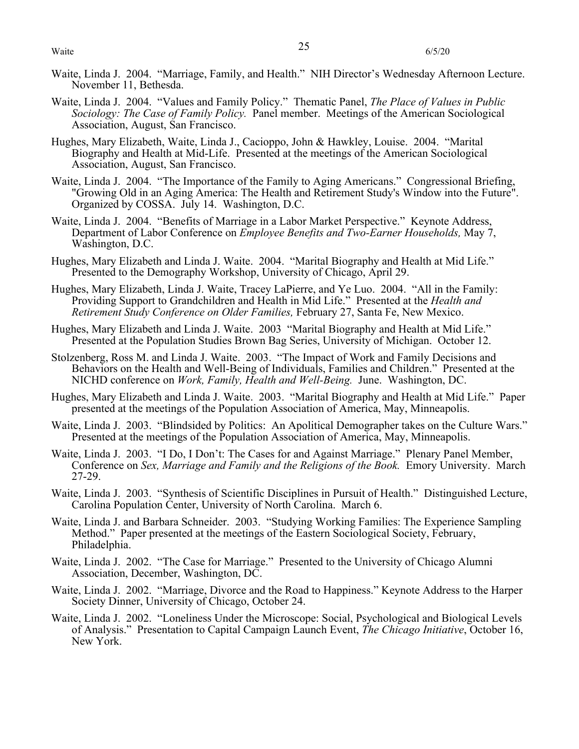- Waite, Linda J. 2004. "Marriage, Family, and Health." NIH Director's Wednesday Afternoon Lecture. November 11, Bethesda.
- Waite, Linda J. 2004. "Values and Family Policy." Thematic Panel, *The Place of Values in Public Sociology: The Case of Family Policy.* Panel member. Meetings of the American Sociological Association, August, San Francisco.
- Hughes, Mary Elizabeth, Waite, Linda J., Cacioppo, John & Hawkley, Louise. 2004. "Marital Biography and Health at Mid-Life. Presented at the meetings of the American Sociological Association, August, San Francisco.
- Waite, Linda J. 2004. "The Importance of the Family to Aging Americans." Congressional Briefing, "Growing Old in an Aging America: The Health and Retirement Study's Window into the Future". Organized by COSSA. July 14. Washington, D.C.
- Waite, Linda J. 2004. "Benefits of Marriage in a Labor Market Perspective." Keynote Address, Department of Labor Conference on *Employee Benefits and Two-Earner Households,* May 7, Washington, D.C.
- Hughes, Mary Elizabeth and Linda J. Waite. 2004. "Marital Biography and Health at Mid Life." Presented to the Demography Workshop, University of Chicago, April 29.
- Hughes, Mary Elizabeth, Linda J. Waite, Tracey LaPierre, and Ye Luo. 2004. "All in the Family: Providing Support to Grandchildren and Health in Mid Life." Presented at the *Health and Retirement Study Conference on Older Families,* February 27, Santa Fe, New Mexico.
- Hughes, Mary Elizabeth and Linda J. Waite. 2003 "Marital Biography and Health at Mid Life." Presented at the Population Studies Brown Bag Series, University of Michigan. October 12.
- Stolzenberg, Ross M. and Linda J. Waite. 2003. "The Impact of Work and Family Decisions and Behaviors on the Health and Well-Being of Individuals, Families and Children." Presented at the NICHD conference on *Work, Family, Health and Well-Being.* June. Washington, DC.
- Hughes, Mary Elizabeth and Linda J. Waite. 2003. "Marital Biography and Health at Mid Life." Paper presented at the meetings of the Population Association of America, May, Minneapolis.
- Waite, Linda J. 2003. "Blindsided by Politics: An Apolitical Demographer takes on the Culture Wars." Presented at the meetings of the Population Association of America, May, Minneapolis.
- Waite, Linda J. 2003. "I Do, I Don't: The Cases for and Against Marriage." Plenary Panel Member, Conference on *Sex, Marriage and Family and the Religions of the Book.* Emory University. March 27-29.
- Waite, Linda J. 2003. "Synthesis of Scientific Disciplines in Pursuit of Health." Distinguished Lecture, Carolina Population Center, University of North Carolina. March 6.
- Waite, Linda J. and Barbara Schneider. 2003. "Studying Working Families: The Experience Sampling Method." Paper presented at the meetings of the Eastern Sociological Society, February, Philadelphia.
- Waite, Linda J. 2002. "The Case for Marriage." Presented to the University of Chicago Alumni Association, December, Washington, DC.
- Waite, Linda J. 2002. "Marriage, Divorce and the Road to Happiness." Keynote Address to the Harper Society Dinner, University of Chicago, October 24.
- Waite, Linda J. 2002. "Loneliness Under the Microscope: Social, Psychological and Biological Levels of Analysis." Presentation to Capital Campaign Launch Event, *The Chicago Initiative*, October 16, New York.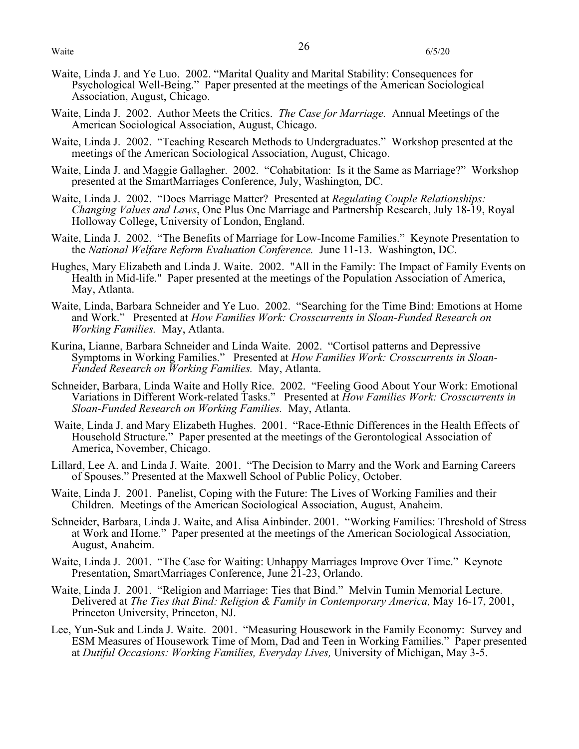- Waite, Linda J. and Ye Luo. 2002. "Marital Quality and Marital Stability: Consequences for Psychological Well-Being." Paper presented at the meetings of the American Sociological Association, August, Chicago.
- Waite, Linda J. 2002. Author Meets the Critics. *The Case for Marriage.* Annual Meetings of the American Sociological Association, August, Chicago.
- Waite, Linda J. 2002. "Teaching Research Methods to Undergraduates." Workshop presented at the meetings of the American Sociological Association, August, Chicago.
- Waite, Linda J. and Maggie Gallagher. 2002. "Cohabitation: Is it the Same as Marriage?" Workshop presented at the SmartMarriages Conference, July, Washington, DC.
- Waite, Linda J. 2002. "Does Marriage Matter? Presented at *Regulating Couple Relationships: Changing Values and Laws*, One Plus One Marriage and Partnership Research, July 18-19, Royal Holloway College, University of London, England.
- Waite, Linda J. 2002. "The Benefits of Marriage for Low-Income Families." Keynote Presentation to the *National Welfare Reform Evaluation Conference.* June 11-13. Washington, DC.
- Hughes, Mary Elizabeth and Linda J. Waite. 2002. "All in the Family: The Impact of Family Events on Health in Mid-life." Paper presented at the meetings of the Population Association of America, May, Atlanta.
- Waite, Linda, Barbara Schneider and Ye Luo. 2002. "Searching for the Time Bind: Emotions at Home and Work." Presented at *How Families Work: Crosscurrents in Sloan-Funded Research on Working Families.* May, Atlanta.
- Kurina, Lianne, Barbara Schneider and Linda Waite. 2002. "Cortisol patterns and Depressive Symptoms in Working Families." Presented at *How Families Work: Crosscurrents in Sloan-Funded Research on Working Families.* May, Atlanta.
- Schneider, Barbara, Linda Waite and Holly Rice. 2002. "Feeling Good About Your Work: Emotional Variations in Different Work-related Tasks." Presented at *How Families Work: Crosscurrents in Sloan-Funded Research on Working Families.* May, Atlanta.
- Waite, Linda J. and Mary Elizabeth Hughes. 2001. "Race-Ethnic Differences in the Health Effects of Household Structure." Paper presented at the meetings of the Gerontological Association of America, November, Chicago.
- Lillard, Lee A. and Linda J. Waite. 2001. "The Decision to Marry and the Work and Earning Careers of Spouses." Presented at the Maxwell School of Public Policy, October.
- Waite, Linda J. 2001. Panelist, Coping with the Future: The Lives of Working Families and their Children. Meetings of the American Sociological Association, August, Anaheim.
- Schneider, Barbara, Linda J. Waite, and Alisa Ainbinder. 2001. "Working Families: Threshold of Stress at Work and Home." Paper presented at the meetings of the American Sociological Association, August, Anaheim.
- Waite, Linda J. 2001. "The Case for Waiting: Unhappy Marriages Improve Over Time." Keynote Presentation, SmartMarriages Conference, June 21-23, Orlando.
- Waite, Linda J. 2001. "Religion and Marriage: Ties that Bind." Melvin Tumin Memorial Lecture. Delivered at *The Ties that Bind: Religion & Family in Contemporary America,* May 16-17, 2001, Princeton University, Princeton, NJ.
- Lee, Yun-Suk and Linda J. Waite. 2001. "Measuring Housework in the Family Economy: Survey and ESM Measures of Housework Time of Mom, Dad and Teen in Working Families." Paper presented at *Dutiful Occasions: Working Families, Everyday Lives,* University of Michigan, May 3-5.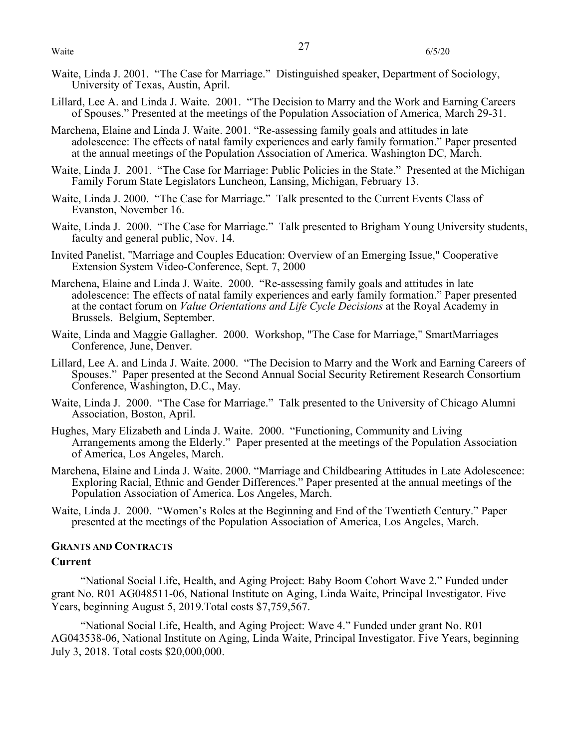- Waite, Linda J. 2001. "The Case for Marriage." Distinguished speaker, Department of Sociology, University of Texas, Austin, April.
- Lillard, Lee A. and Linda J. Waite. 2001. "The Decision to Marry and the Work and Earning Careers of Spouses." Presented at the meetings of the Population Association of America, March 29-31.
- Marchena, Elaine and Linda J. Waite. 2001. "Re-assessing family goals and attitudes in late adolescence: The effects of natal family experiences and early family formation." Paper presented at the annual meetings of the Population Association of America. Washington DC, March.
- Waite, Linda J. 2001. "The Case for Marriage: Public Policies in the State." Presented at the Michigan Family Forum State Legislators Luncheon, Lansing, Michigan, February 13.
- Waite, Linda J. 2000. "The Case for Marriage." Talk presented to the Current Events Class of Evanston, November 16.
- Waite, Linda J. 2000. "The Case for Marriage." Talk presented to Brigham Young University students, faculty and general public, Nov. 14.
- Invited Panelist, "Marriage and Couples Education: Overview of an Emerging Issue," Cooperative Extension System Video-Conference, Sept. 7, 2000
- Marchena, Elaine and Linda J. Waite. 2000. "Re-assessing family goals and attitudes in late adolescence: The effects of natal family experiences and early family formation." Paper presented at the contact forum on *Value Orientations and Life Cycle Decisions* at the Royal Academy in Brussels. Belgium, September.
- Waite, Linda and Maggie Gallagher. 2000. Workshop, "The Case for Marriage," SmartMarriages Conference, June, Denver.
- Lillard, Lee A. and Linda J. Waite. 2000. "The Decision to Marry and the Work and Earning Careers of Spouses." Paper presented at the Second Annual Social Security Retirement Research Consortium Conference, Washington, D.C., May.
- Waite, Linda J. 2000. "The Case for Marriage." Talk presented to the University of Chicago Alumni Association, Boston, April.
- Hughes, Mary Elizabeth and Linda J. Waite. 2000. "Functioning, Community and Living Arrangements among the Elderly." Paper presented at the meetings of the Population Association of America, Los Angeles, March.
- Marchena, Elaine and Linda J. Waite. 2000. "Marriage and Childbearing Attitudes in Late Adolescence: Exploring Racial, Ethnic and Gender Differences." Paper presented at the annual meetings of the Population Association of America. Los Angeles, March.
- Waite, Linda J. 2000. "Women's Roles at the Beginning and End of the Twentieth Century." Paper presented at the meetings of the Population Association of America, Los Angeles, March.

#### **GRANTS AND CONTRACTS**

## **Current**

"National Social Life, Health, and Aging Project: Baby Boom Cohort Wave 2." Funded under grant No. R01 AG048511-06, National Institute on Aging, Linda Waite, Principal Investigator. Five Years, beginning August 5, 2019.Total costs \$7,759,567.

"National Social Life, Health, and Aging Project: Wave 4." Funded under grant No. R01 AG043538-06, National Institute on Aging, Linda Waite, Principal Investigator. Five Years, beginning July 3, 2018. Total costs \$20,000,000.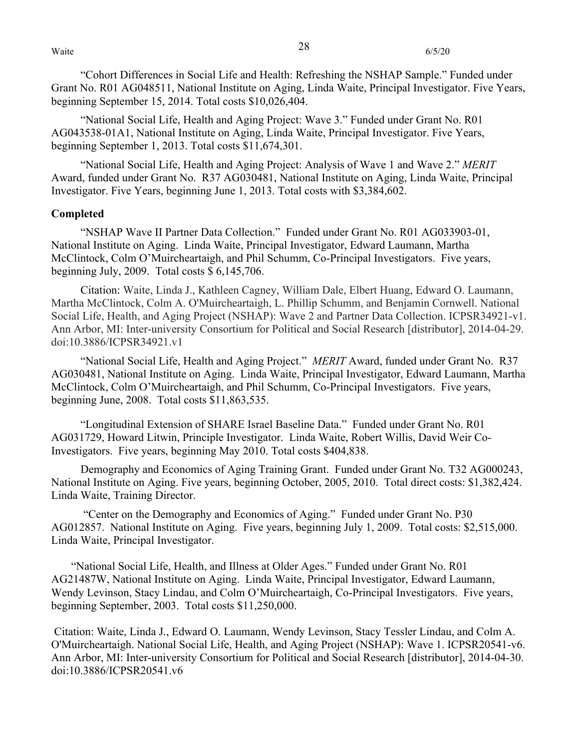"Cohort Differences in Social Life and Health: Refreshing the NSHAP Sample." Funded under Grant No. R01 AG048511, National Institute on Aging, Linda Waite, Principal Investigator. Five Years, beginning September 15, 2014. Total costs \$10,026,404.

"National Social Life, Health and Aging Project: Wave 3." Funded under Grant No. R01 AG043538-01A1, National Institute on Aging, Linda Waite, Principal Investigator. Five Years, beginning September 1, 2013. Total costs \$11,674,301.

"National Social Life, Health and Aging Project: Analysis of Wave 1 and Wave 2." *MERIT*  Award, funded under Grant No. R37 AG030481, National Institute on Aging, Linda Waite, Principal Investigator. Five Years, beginning June 1, 2013. Total costs with \$3,384,602.

## **Completed**

"NSHAP Wave II Partner Data Collection." Funded under Grant No. R01 AG033903-01, National Institute on Aging. Linda Waite, Principal Investigator, Edward Laumann, Martha McClintock, Colm O'Muircheartaigh, and Phil Schumm, Co-Principal Investigators. Five years, beginning July, 2009. Total costs \$ 6,145,706.

Citation: Waite, Linda J., Kathleen Cagney, William Dale, Elbert Huang, Edward O. Laumann, Martha McClintock, Colm A. O'Muircheartaigh, L. Phillip Schumm, and Benjamin Cornwell. National Social Life, Health, and Aging Project (NSHAP): Wave 2 and Partner Data Collection. ICPSR34921-v1. Ann Arbor, MI: Inter-university Consortium for Political and Social Research [distributor], 2014-04-29. doi:10.3886/ICPSR34921.v1

"National Social Life, Health and Aging Project." *MERIT* Award, funded under Grant No. R37 AG030481, National Institute on Aging. Linda Waite, Principal Investigator, Edward Laumann, Martha McClintock, Colm O'Muircheartaigh, and Phil Schumm, Co-Principal Investigators. Five years, beginning June, 2008. Total costs \$11,863,535.

"Longitudinal Extension of SHARE Israel Baseline Data." Funded under Grant No. R01 AG031729, Howard Litwin, Principle Investigator. Linda Waite, Robert Willis, David Weir Co-Investigators. Five years, beginning May 2010. Total costs \$404,838.

Demography and Economics of Aging Training Grant. Funded under Grant No. T32 AG000243, National Institute on Aging. Five years, beginning October, 2005, 2010. Total direct costs: \$1,382,424. Linda Waite, Training Director.

"Center on the Demography and Economics of Aging." Funded under Grant No. P30 AG012857. National Institute on Aging. Five years, beginning July 1, 2009. Total costs: \$2,515,000. Linda Waite, Principal Investigator.

 "National Social Life, Health, and Illness at Older Ages." Funded under Grant No. R01 AG21487W, National Institute on Aging. Linda Waite, Principal Investigator, Edward Laumann, Wendy Levinson, Stacy Lindau, and Colm O'Muircheartaigh, Co-Principal Investigators. Five years, beginning September, 2003. Total costs \$11,250,000.

Citation: Waite, Linda J., Edward O. Laumann, Wendy Levinson, Stacy Tessler Lindau, and Colm A. O'Muircheartaigh. National Social Life, Health, and Aging Project (NSHAP): Wave 1. ICPSR20541-v6. Ann Arbor, MI: Inter-university Consortium for Political and Social Research [distributor], 2014-04-30. doi:10.3886/ICPSR20541.v6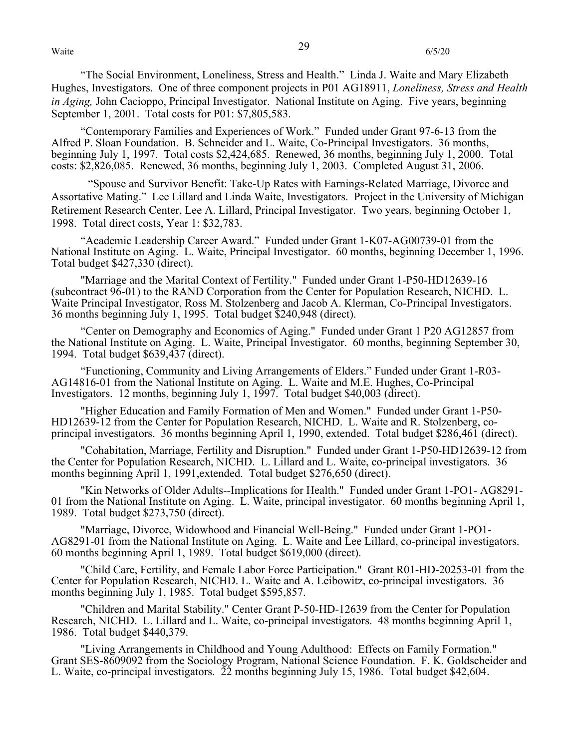"The Social Environment, Loneliness, Stress and Health." Linda J. Waite and Mary Elizabeth Hughes, Investigators. One of three component projects in P01 AG18911, *Loneliness, Stress and Health in Aging,* John Cacioppo, Principal Investigator. National Institute on Aging. Five years, beginning September 1, 2001. Total costs for P01: \$7,805,583.

"Contemporary Families and Experiences of Work." Funded under Grant 97-6-13 from the Alfred P. Sloan Foundation. B. Schneider and L. Waite, Co-Principal Investigators. 36 months, beginning July 1, 1997. Total costs \$2,424,685. Renewed, 36 months, beginning July 1, 2000. Total costs: \$2,826,085. Renewed, 36 months, beginning July 1, 2003. Completed August 31, 2006.

"Spouse and Survivor Benefit: Take-Up Rates with Earnings-Related Marriage, Divorce and Assortative Mating." Lee Lillard and Linda Waite, Investigators. Project in the University of Michigan Retirement Research Center, Lee A. Lillard, Principal Investigator. Two years, beginning October 1, 1998. Total direct costs, Year 1: \$32,783.

"Academic Leadership Career Award." Funded under Grant 1-K07-AG00739-01 from the National Institute on Aging. L. Waite, Principal Investigator. 60 months, beginning December 1, 1996. Total budget \$427,330 (direct).

"Marriage and the Marital Context of Fertility." Funded under Grant 1-P50-HD12639-16 (subcontract 96-01) to the RAND Corporation from the Center for Population Research, NICHD. L. Waite Principal Investigator, Ross M. Stolzenberg and Jacob A. Klerman, Co-Principal Investigators. 36 months beginning July 1, 1995. Total budget \$240,948 (direct).

"Center on Demography and Economics of Aging." Funded under Grant 1 P20 AG12857 from the National Institute on Aging. L. Waite, Principal Investigator. 60 months, beginning September 30, 1994. Total budget \$639,437 (direct).

"Functioning, Community and Living Arrangements of Elders." Funded under Grant 1-R03- AG14816-01 from the National Institute on Aging. L. Waite and M.E. Hughes, Co-Principal Investigators. 12 months, beginning July 1, 1997. Total budget \$40,003 (direct).

"Higher Education and Family Formation of Men and Women." Funded under Grant 1-P50- HD12639-12 from the Center for Population Research, NICHD. L. Waite and R. Stolzenberg, coprincipal investigators. 36 months beginning April 1, 1990, extended. Total budget \$286,461 (direct).

"Cohabitation, Marriage, Fertility and Disruption." Funded under Grant 1-P50-HD12639-12 from the Center for Population Research, NICHD. L. Lillard and L. Waite, co-principal investigators. 36 months beginning April 1, 1991,extended. Total budget \$276,650 (direct).

"Kin Networks of Older Adults--Implications for Health." Funded under Grant 1-PO1- AG8291- 01 from the National Institute on Aging. L. Waite, principal investigator. 60 months beginning April 1, 1989. Total budget \$273,750 (direct).

"Marriage, Divorce, Widowhood and Financial Well-Being." Funded under Grant 1-PO1- AG8291-01 from the National Institute on Aging. L. Waite and Lee Lillard, co-principal investigators. 60 months beginning April 1, 1989. Total budget \$619,000 (direct).

"Child Care, Fertility, and Female Labor Force Participation." Grant R01-HD-20253-01 from the Center for Population Research, NICHD. L. Waite and A. Leibowitz, co-principal investigators. 36 months beginning July 1, 1985. Total budget \$595,857.

"Children and Marital Stability." Center Grant P-50-HD-12639 from the Center for Population Research, NICHD. L. Lillard and L. Waite, co-principal investigators. 48 months beginning April 1, 1986. Total budget \$440,379.

"Living Arrangements in Childhood and Young Adulthood: Effects on Family Formation." Grant SES-8609092 from the Sociology Program, National Science Foundation. F. K. Goldscheider and L. Waite, co-principal investigators. 22 months beginning July 15, 1986. Total budget \$42,604.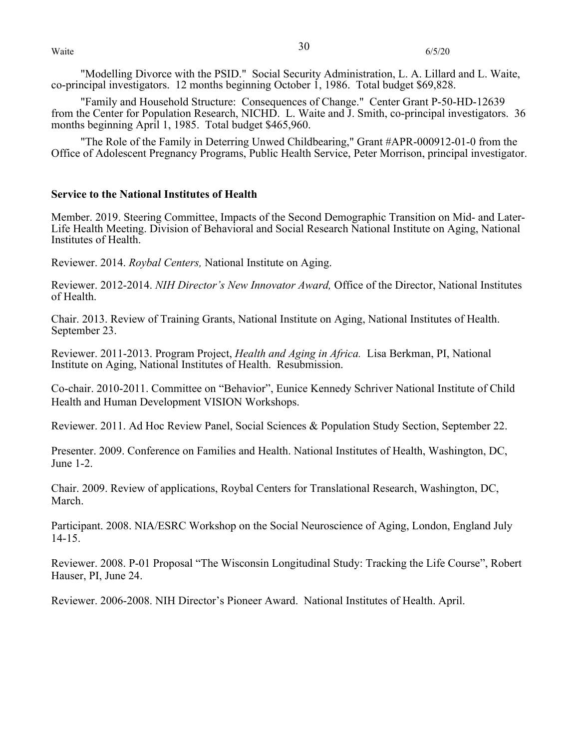"Modelling Divorce with the PSID." Social Security Administration, L. A. Lillard and L. Waite, co-principal investigators. 12 months beginning October 1, 1986. Total budget \$69,828.

"Family and Household Structure: Consequences of Change." Center Grant P-50-HD-12639 from the Center for Population Research, NICHD. L. Waite and J. Smith, co-principal investigators. 36 months beginning April 1, 1985. Total budget \$465,960.

"The Role of the Family in Deterring Unwed Childbearing," Grant #APR-000912-01-0 from the Office of Adolescent Pregnancy Programs, Public Health Service, Peter Morrison, principal investigator.

## **Service to the National Institutes of Health**

Member. 2019. Steering Committee, Impacts of the Second Demographic Transition on Mid- and Later-Life Health Meeting. Division of Behavioral and Social Research National Institute on Aging, National Institutes of Health.

Reviewer. 2014. *Roybal Centers,* National Institute on Aging.

Reviewer. 2012-2014. *NIH Director's New Innovator Award,* Office of the Director, National Institutes of Health.

Chair. 2013. Review of Training Grants, National Institute on Aging, National Institutes of Health. September 23.

Reviewer. 2011-2013. Program Project, *Health and Aging in Africa.* Lisa Berkman, PI, National Institute on Aging, National Institutes of Health. Resubmission.

Co-chair. 2010-2011. Committee on "Behavior", Eunice Kennedy Schriver National Institute of Child Health and Human Development VISION Workshops.

Reviewer. 2011. Ad Hoc Review Panel, Social Sciences & Population Study Section, September 22.

Presenter. 2009. Conference on Families and Health. National Institutes of Health, Washington, DC, June 1-2.

Chair. 2009. Review of applications, Roybal Centers for Translational Research, Washington, DC, March.

Participant. 2008. NIA/ESRC Workshop on the Social Neuroscience of Aging, London, England July 14-15.

Reviewer. 2008. P-01 Proposal "The Wisconsin Longitudinal Study: Tracking the Life Course", Robert Hauser, PI, June 24.

Reviewer. 2006-2008. NIH Director's Pioneer Award. National Institutes of Health. April.